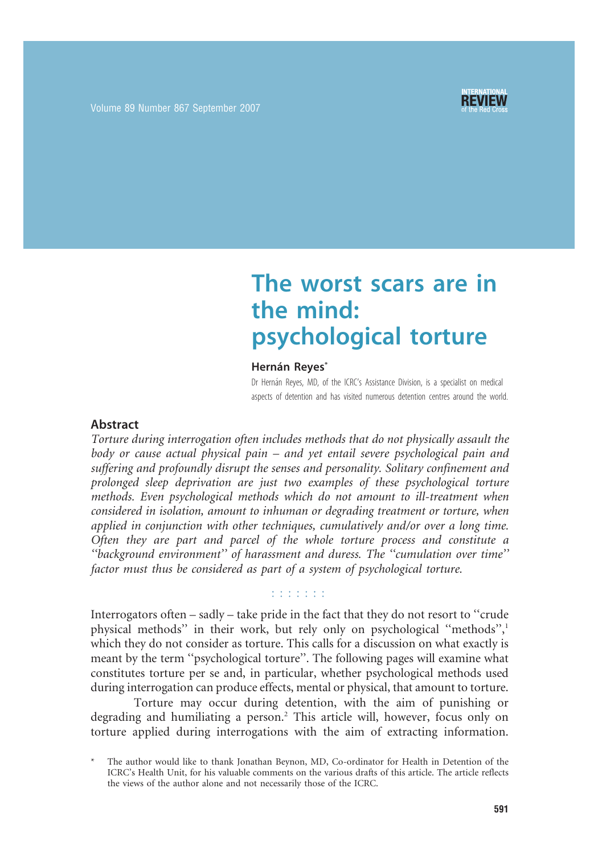

Volume 89 Number 867 September 2007

# The worst scars are in the mind: psychological torture

#### Hernán Reyes\*

Dr Hernán Reyes, MD, of the ICRC's Assistance Division, is a specialist on medical aspects of detention and has visited numerous detention centres around the world.

#### Abstract

Torture during interrogation often includes methods that do not physically assault the body or cause actual physical pain – and yet entail severe psychological pain and suffering and profoundly disrupt the senses and personality. Solitary confinement and prolonged sleep deprivation are just two examples of these psychological torture methods. Even psychological methods which do not amount to ill-treatment when considered in isolation, amount to inhuman or degrading treatment or torture, when applied in conjunction with other techniques, cumulatively and/or over a long time. Often they are part and parcel of the whole torture process and constitute a ''background environment'' of harassment and duress. The ''cumulation over time'' factor must thus be considered as part of a system of psychological torture.

#### **Edition**

Interrogators often – sadly – take pride in the fact that they do not resort to ''crude physical methods" in their work, but rely only on psychological "methods",<sup>1</sup> which they do not consider as torture. This calls for a discussion on what exactly is meant by the term ''psychological torture''. The following pages will examine what constitutes torture per se and, in particular, whether psychological methods used during interrogation can produce effects, mental or physical, that amount to torture.

Torture may occur during detention, with the aim of punishing or degrading and humiliating a person.2 This article will, however, focus only on torture applied during interrogations with the aim of extracting information.

The author would like to thank Jonathan Beynon, MD, Co-ordinator for Health in Detention of the ICRC's Health Unit, for his valuable comments on the various drafts of this article. The article reflects the views of the author alone and not necessarily those of the ICRC.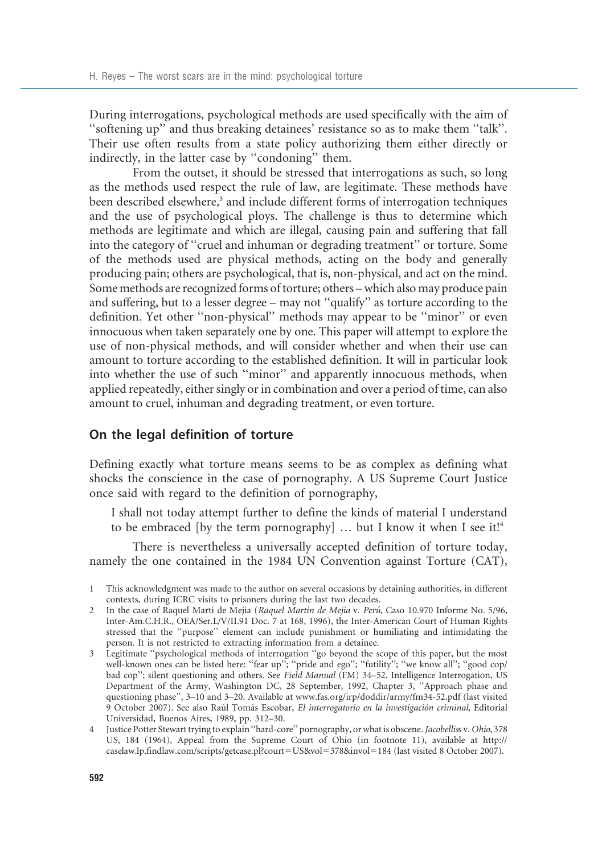During interrogations, psychological methods are used specifically with the aim of ''softening up'' and thus breaking detainees' resistance so as to make them ''talk''. Their use often results from a state policy authorizing them either directly or indirectly, in the latter case by ''condoning'' them.

From the outset, it should be stressed that interrogations as such, so long as the methods used respect the rule of law, are legitimate. These methods have been described elsewhere,<sup>3</sup> and include different forms of interrogation techniques and the use of psychological ploys. The challenge is thus to determine which methods are legitimate and which are illegal, causing pain and suffering that fall into the category of ''cruel and inhuman or degrading treatment'' or torture. Some of the methods used are physical methods, acting on the body and generally producing pain; others are psychological, that is, non-physical, and act on the mind. Some methods are recognized forms of torture; others – which also may produce pain and suffering, but to a lesser degree – may not ''qualify'' as torture according to the definition. Yet other ''non-physical'' methods may appear to be ''minor'' or even innocuous when taken separately one by one. This paper will attempt to explore the use of non-physical methods, and will consider whether and when their use can amount to torture according to the established definition. It will in particular look into whether the use of such ''minor'' and apparently innocuous methods, when applied repeatedly, either singly or in combination and over a period of time, can also amount to cruel, inhuman and degrading treatment, or even torture.

## On the legal definition of torture

Defining exactly what torture means seems to be as complex as defining what shocks the conscience in the case of pornography. A US Supreme Court Justice once said with regard to the definition of pornography,

I shall not today attempt further to define the kinds of material I understand to be embraced [by the term pornography]  $\ldots$  but I know it when I see it!<sup>4</sup>

There is nevertheless a universally accepted definition of torture today, namely the one contained in the 1984 UN Convention against Torture (CAT),

<sup>1</sup> This acknowledgment was made to the author on several occasions by detaining authorities, in different contexts, during ICRC visits to prisoners during the last two decades.

<sup>2</sup> In the case of Raquel Marti de Mejia (Raquel Martin de Mejía v. Perú, Caso 10.970 Informe No. 5/96, Inter-Am.C.H.R., OEA/Ser.L/V/II.91 Doc. 7 at 168, 1996), the Inter-American Court of Human Rights stressed that the ''purpose'' element can include punishment or humiliating and intimidating the person. It is not restricted to extracting information from a detainee.

<sup>3</sup> Legitimate ''psychological methods of interrogation ''go beyond the scope of this paper, but the most well-known ones can be listed here: ''fear up''; ''pride and ego''; ''futility''; ''we know all''; ''good cop/ bad cop"; silent questioning and others. See Field Manual (FM) 34–52, Intelligence Interrogation, US Department of the Army, Washington DC, 28 September, 1992, Chapter 3, ''Approach phase and questioning phase'', 3–10 and 3–20. Available at www.fas.org/irp/doddir/army/fm34-52.pdf (last visited 9 October 2007). See also Raúl Tomás Escobar, El interrogatorio en la investigación criminal, Editorial Universidad, Buenos Aires, 1989, pp. 312–30.

<sup>4</sup> Justice Potter Stewart trying to explain ''hard-core'' pornography, or what is obscene.Jacobelliss v. Ohio, 378 US, 184 (1964), Appeal from the Supreme Court of Ohio (in footnote 11), available at http:// caselaw.lp.findlaw.com/scripts/getcase.pl?court=US&vol=378&invol=184 (last visited 8 October 2007).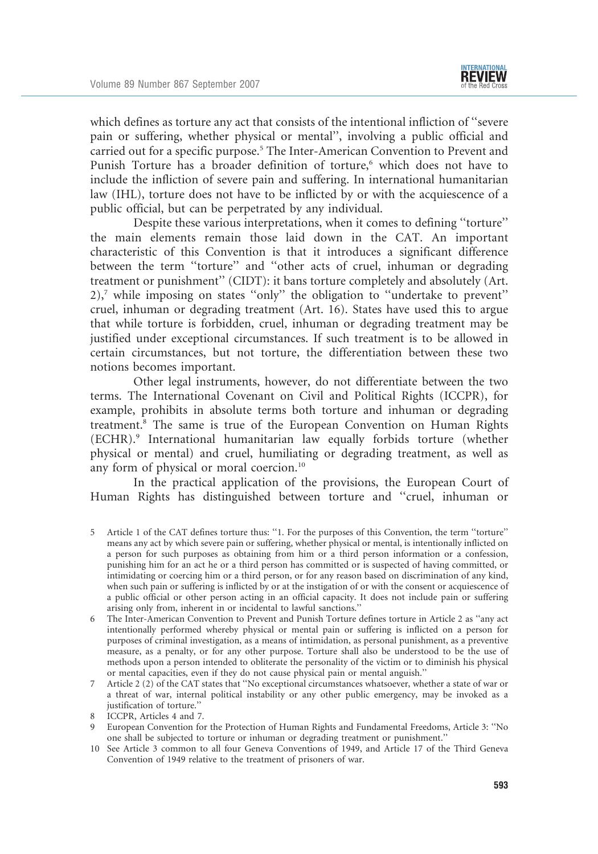which defines as torture any act that consists of the intentional infliction of ''severe pain or suffering, whether physical or mental'', involving a public official and carried out for a specific purpose.<sup>5</sup> The Inter-American Convention to Prevent and Punish Torture has a broader definition of torture,<sup>6</sup> which does not have to include the infliction of severe pain and suffering. In international humanitarian law (IHL), torture does not have to be inflicted by or with the acquiescence of a public official, but can be perpetrated by any individual.

Despite these various interpretations, when it comes to defining ''torture'' the main elements remain those laid down in the CAT. An important characteristic of this Convention is that it introduces a significant difference between the term ''torture'' and ''other acts of cruel, inhuman or degrading treatment or punishment'' (CIDT): it bans torture completely and absolutely (Art. 2),7 while imposing on states ''only'' the obligation to ''undertake to prevent'' cruel, inhuman or degrading treatment (Art. 16). States have used this to argue that while torture is forbidden, cruel, inhuman or degrading treatment may be justified under exceptional circumstances. If such treatment is to be allowed in certain circumstances, but not torture, the differentiation between these two notions becomes important.

Other legal instruments, however, do not differentiate between the two terms. The International Covenant on Civil and Political Rights (ICCPR), for example, prohibits in absolute terms both torture and inhuman or degrading treatment.8 The same is true of the European Convention on Human Rights (ECHR).9 International humanitarian law equally forbids torture (whether physical or mental) and cruel, humiliating or degrading treatment, as well as any form of physical or moral coercion.<sup>10</sup>

In the practical application of the provisions, the European Court of Human Rights has distinguished between torture and ''cruel, inhuman or

- 5 Article 1 of the CAT defines torture thus: ''1. For the purposes of this Convention, the term ''torture'' means any act by which severe pain or suffering, whether physical or mental, is intentionally inflicted on a person for such purposes as obtaining from him or a third person information or a confession, punishing him for an act he or a third person has committed or is suspected of having committed, or intimidating or coercing him or a third person, or for any reason based on discrimination of any kind, when such pain or suffering is inflicted by or at the instigation of or with the consent or acquiescence of a public official or other person acting in an official capacity. It does not include pain or suffering arising only from, inherent in or incidental to lawful sanctions.''
- 6 The Inter-American Convention to Prevent and Punish Torture defines torture in Article 2 as ''any act intentionally performed whereby physical or mental pain or suffering is inflicted on a person for purposes of criminal investigation, as a means of intimidation, as personal punishment, as a preventive measure, as a penalty, or for any other purpose. Torture shall also be understood to be the use of methods upon a person intended to obliterate the personality of the victim or to diminish his physical or mental capacities, even if they do not cause physical pain or mental anguish.''
- 7 Article 2 (2) of the CAT states that ''No exceptional circumstances whatsoever, whether a state of war or a threat of war, internal political instability or any other public emergency, may be invoked as a justification of torture.''
- 8 ICCPR, Articles 4 and 7.
- 9 European Convention for the Protection of Human Rights and Fundamental Freedoms, Article 3: ''No one shall be subjected to torture or inhuman or degrading treatment or punishment.''
- 10 See Article 3 common to all four Geneva Conventions of 1949, and Article 17 of the Third Geneva Convention of 1949 relative to the treatment of prisoners of war.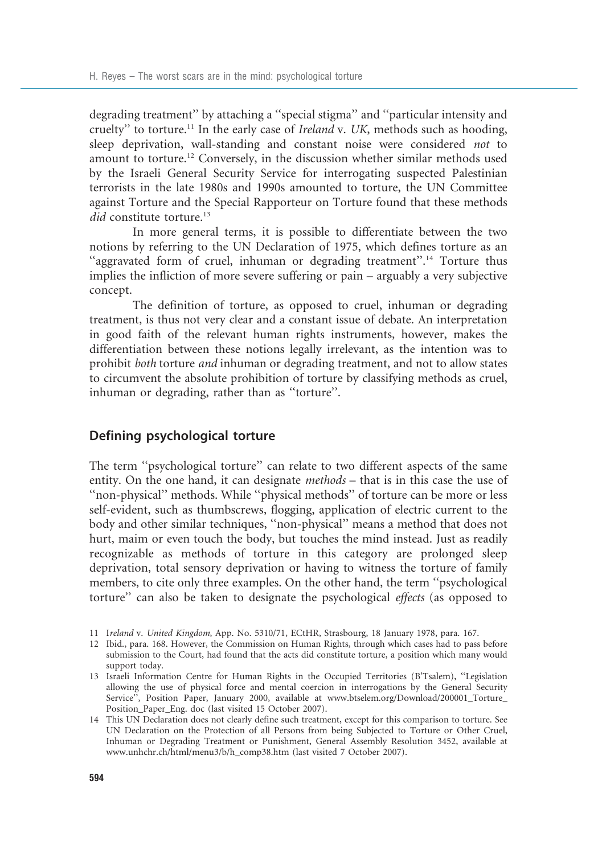degrading treatment'' by attaching a ''special stigma'' and ''particular intensity and cruelty" to torture.<sup>11</sup> In the early case of *Ireland* v. *UK*, methods such as hooding, sleep deprivation, wall-standing and constant noise were considered not to amount to torture.12 Conversely, in the discussion whether similar methods used by the Israeli General Security Service for interrogating suspected Palestinian terrorists in the late 1980s and 1990s amounted to torture, the UN Committee against Torture and the Special Rapporteur on Torture found that these methods did constitute torture.<sup>13</sup>

In more general terms, it is possible to differentiate between the two notions by referring to the UN Declaration of 1975, which defines torture as an "aggravated form of cruel, inhuman or degrading treatment".<sup>14</sup> Torture thus implies the infliction of more severe suffering or pain – arguably a very subjective concept.

The definition of torture, as opposed to cruel, inhuman or degrading treatment, is thus not very clear and a constant issue of debate. An interpretation in good faith of the relevant human rights instruments, however, makes the differentiation between these notions legally irrelevant, as the intention was to prohibit both torture and inhuman or degrading treatment, and not to allow states to circumvent the absolute prohibition of torture by classifying methods as cruel, inhuman or degrading, rather than as ''torture''.

## Defining psychological torture

The term ''psychological torture'' can relate to two different aspects of the same entity. On the one hand, it can designate methods – that is in this case the use of ''non-physical'' methods. While ''physical methods'' of torture can be more or less self-evident, such as thumbscrews, flogging, application of electric current to the body and other similar techniques, ''non-physical'' means a method that does not hurt, maim or even touch the body, but touches the mind instead. Just as readily recognizable as methods of torture in this category are prolonged sleep deprivation, total sensory deprivation or having to witness the torture of family members, to cite only three examples. On the other hand, the term ''psychological torture'' can also be taken to designate the psychological effects (as opposed to

<sup>11</sup> Ireland v. United Kingdom, App. No. 5310/71, ECtHR, Strasbourg, 18 January 1978, para. 167.

<sup>12</sup> Ibid., para. 168. However, the Commission on Human Rights, through which cases had to pass before submission to the Court, had found that the acts did constitute torture, a position which many would support today.

<sup>13</sup> Israeli Information Centre for Human Rights in the Occupied Territories (B'Tsalem), ''Legislation allowing the use of physical force and mental coercion in interrogations by the General Security Service'', Position Paper, January 2000, available at www.btselem.org/Download/200001\_Torture\_ Position\_Paper\_Eng. doc (last visited 15 October 2007).

<sup>14</sup> This UN Declaration does not clearly define such treatment, except for this comparison to torture. See UN Declaration on the Protection of all Persons from being Subjected to Torture or Other Cruel, Inhuman or Degrading Treatment or Punishment, General Assembly Resolution 3452, available at www.unhchr.ch/html/menu3/b/h\_comp38.htm (last visited 7 October 2007).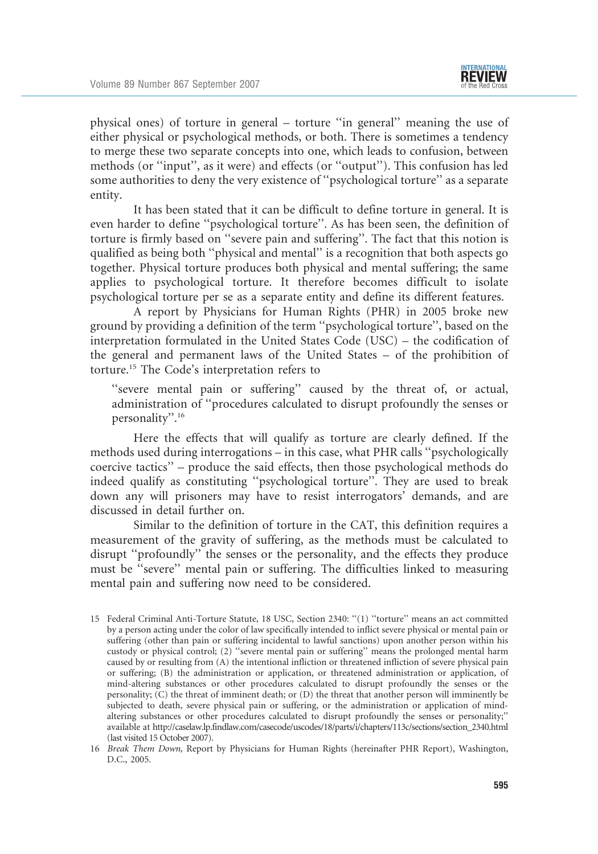physical ones) of torture in general – torture ''in general'' meaning the use of either physical or psychological methods, or both. There is sometimes a tendency to merge these two separate concepts into one, which leads to confusion, between methods (or ''input'', as it were) and effects (or ''output''). This confusion has led some authorities to deny the very existence of ''psychological torture'' as a separate entity.

It has been stated that it can be difficult to define torture in general. It is even harder to define ''psychological torture''. As has been seen, the definition of torture is firmly based on ''severe pain and suffering''. The fact that this notion is qualified as being both ''physical and mental'' is a recognition that both aspects go together. Physical torture produces both physical and mental suffering; the same applies to psychological torture. It therefore becomes difficult to isolate psychological torture per se as a separate entity and define its different features.

A report by Physicians for Human Rights (PHR) in 2005 broke new ground by providing a definition of the term ''psychological torture'', based on the interpretation formulated in the United States Code (USC) – the codification of the general and permanent laws of the United States – of the prohibition of torture.15 The Code's interpretation refers to

"severe mental pain or suffering" caused by the threat of, or actual, administration of ''procedures calculated to disrupt profoundly the senses or personality''.16

Here the effects that will qualify as torture are clearly defined. If the methods used during interrogations – in this case, what PHR calls ''psychologically coercive tactics'' – produce the said effects, then those psychological methods do indeed qualify as constituting ''psychological torture''. They are used to break down any will prisoners may have to resist interrogators' demands, and are discussed in detail further on.

Similar to the definition of torture in the CAT, this definition requires a measurement of the gravity of suffering, as the methods must be calculated to disrupt ''profoundly'' the senses or the personality, and the effects they produce must be ''severe'' mental pain or suffering. The difficulties linked to measuring mental pain and suffering now need to be considered.

<sup>15</sup> Federal Criminal Anti-Torture Statute, 18 USC, Section 2340: ''(1) ''torture'' means an act committed by a person acting under the color of law specifically intended to inflict severe physical or mental pain or suffering (other than pain or suffering incidental to lawful sanctions) upon another person within his custody or physical control; (2) ''severe mental pain or suffering'' means the prolonged mental harm caused by or resulting from (A) the intentional infliction or threatened infliction of severe physical pain or suffering; (B) the administration or application, or threatened administration or application, of mind-altering substances or other procedures calculated to disrupt profoundly the senses or the personality; (C) the threat of imminent death; or (D) the threat that another person will imminently be subjected to death, severe physical pain or suffering, or the administration or application of mindaltering substances or other procedures calculated to disrupt profoundly the senses or personality;'' available at http://caselaw.lp.findlaw.com/casecode/uscodes/18/parts/i/chapters/113c/sections/section\_2340.html (last visited 15 October 2007).

<sup>16</sup> Break Them Down, Report by Physicians for Human Rights (hereinafter PHR Report), Washington, D.C., 2005.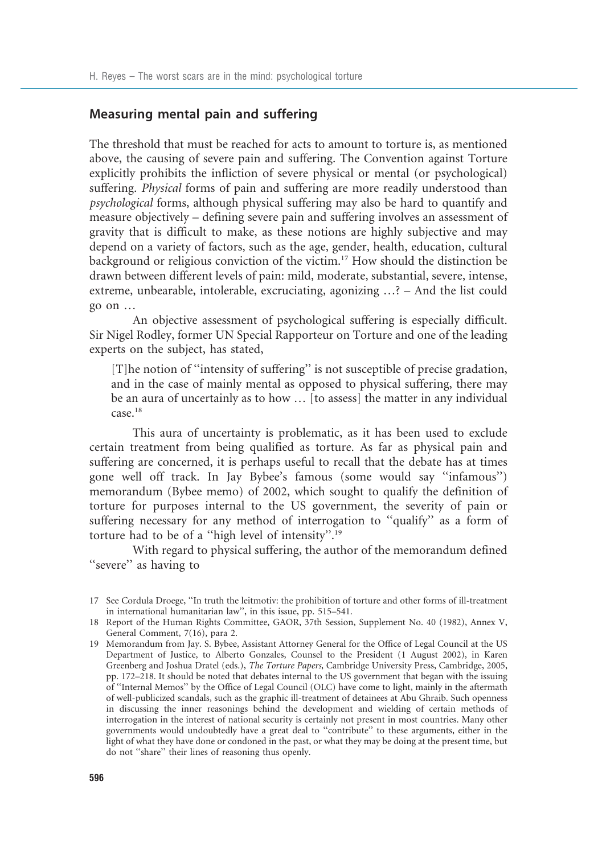## Measuring mental pain and suffering

The threshold that must be reached for acts to amount to torture is, as mentioned above, the causing of severe pain and suffering. The Convention against Torture explicitly prohibits the infliction of severe physical or mental (or psychological) suffering. Physical forms of pain and suffering are more readily understood than psychological forms, although physical suffering may also be hard to quantify and measure objectively – defining severe pain and suffering involves an assessment of gravity that is difficult to make, as these notions are highly subjective and may depend on a variety of factors, such as the age, gender, health, education, cultural background or religious conviction of the victim.17 How should the distinction be drawn between different levels of pain: mild, moderate, substantial, severe, intense, extreme, unbearable, intolerable, excruciating, agonizing …? – And the list could go on …

An objective assessment of psychological suffering is especially difficult. Sir Nigel Rodley, former UN Special Rapporteur on Torture and one of the leading experts on the subject, has stated,

[T]he notion of ''intensity of suffering'' is not susceptible of precise gradation, and in the case of mainly mental as opposed to physical suffering, there may be an aura of uncertainly as to how … [to assess] the matter in any individual case.18

This aura of uncertainty is problematic, as it has been used to exclude certain treatment from being qualified as torture. As far as physical pain and suffering are concerned, it is perhaps useful to recall that the debate has at times gone well off track. In Jay Bybee's famous (some would say ''infamous'') memorandum (Bybee memo) of 2002, which sought to qualify the definition of torture for purposes internal to the US government, the severity of pain or suffering necessary for any method of interrogation to ''qualify'' as a form of torture had to be of a ''high level of intensity''.19

With regard to physical suffering, the author of the memorandum defined "severe" as having to

<sup>17</sup> See Cordula Droege, ''In truth the leitmotiv: the prohibition of torture and other forms of ill-treatment in international humanitarian law'', in this issue, pp. 515–541.

<sup>18</sup> Report of the Human Rights Committee, GAOR, 37th Session, Supplement No. 40 (1982), Annex V, General Comment, 7(16), para 2.

<sup>19</sup> Memorandum from Jay. S. Bybee, Assistant Attorney General for the Office of Legal Council at the US Department of Justice, to Alberto Gonzales, Counsel to the President (1 August 2002), in Karen Greenberg and Joshua Dratel (eds.), The Torture Papers, Cambridge University Press, Cambridge, 2005, pp. 172–218. It should be noted that debates internal to the US government that began with the issuing of ''Internal Memos'' by the Office of Legal Council (OLC) have come to light, mainly in the aftermath of well-publicized scandals, such as the graphic ill-treatment of detainees at Abu Ghraib. Such openness in discussing the inner reasonings behind the development and wielding of certain methods of interrogation in the interest of national security is certainly not present in most countries. Many other governments would undoubtedly have a great deal to ''contribute'' to these arguments, either in the light of what they have done or condoned in the past, or what they may be doing at the present time, but do not ''share'' their lines of reasoning thus openly.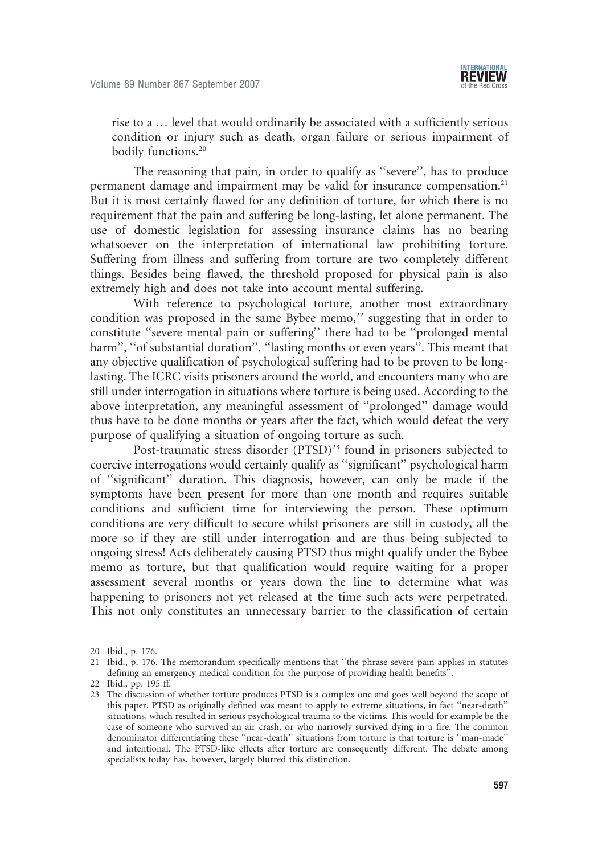

rise to a … level that would ordinarily be associated with a sufficiently serious condition or injury such as death, organ failure or serious impairment of bodily functions.<sup>20</sup>

The reasoning that pain, in order to qualify as ''severe'', has to produce permanent damage and impairment may be valid for insurance compensation.<sup>21</sup> But it is most certainly flawed for any definition of torture, for which there is no requirement that the pain and suffering be long-lasting, let alone permanent. The use of domestic legislation for assessing insurance claims has no bearing whatsoever on the interpretation of international law prohibiting torture. Suffering from illness and suffering from torture are two completely different things. Besides being flawed, the threshold proposed for physical pain is also extremely high and does not take into account mental suffering.

With reference to psychological torture, another most extraordinary condition was proposed in the same Bybee memo,<sup>22</sup> suggesting that in order to constitute ''severe mental pain or suffering'' there had to be ''prolonged mental harm", "of substantial duration", "lasting months or even years". This meant that any objective qualification of psychological suffering had to be proven to be longlasting. The ICRC visits prisoners around the world, and encounters many who are still under interrogation in situations where torture is being used. According to the above interpretation, any meaningful assessment of ''prolonged'' damage would thus have to be done months or years after the fact, which would defeat the very purpose of qualifying a situation of ongoing torture as such.

Post-traumatic stress disorder (PTSD)<sup>23</sup> found in prisoners subjected to coercive interrogations would certainly qualify as ''significant'' psychological harm of ''significant'' duration. This diagnosis, however, can only be made if the symptoms have been present for more than one month and requires suitable conditions and sufficient time for interviewing the person. These optimum conditions are very difficult to secure whilst prisoners are still in custody, all the more so if they are still under interrogation and are thus being subjected to ongoing stress! Acts deliberately causing PTSD thus might qualify under the Bybee memo as torture, but that qualification would require waiting for a proper assessment several months or years down the line to determine what was happening to prisoners not yet released at the time such acts were perpetrated. This not only constitutes an unnecessary barrier to the classification of certain

<sup>20</sup> Ibid., p. 176.

<sup>21</sup> Ibid., p. 176. The memorandum specifically mentions that ''the phrase severe pain applies in statutes defining an emergency medical condition for the purpose of providing health benefits''.

<sup>22</sup> Ibid., pp. 195 ff.

<sup>23</sup> The discussion of whether torture produces PTSD is a complex one and goes well beyond the scope of this paper. PTSD as originally defined was meant to apply to extreme situations, in fact ''near-death'' situations, which resulted in serious psychological trauma to the victims. This would for example be the case of someone who survived an air crash, or who narrowly survived dying in a fire. The common denominator differentiating these ''near-death'' situations from torture is that torture is ''man-made'' and intentional. The PTSD-like effects after torture are consequently different. The debate among specialists today has, however, largely blurred this distinction.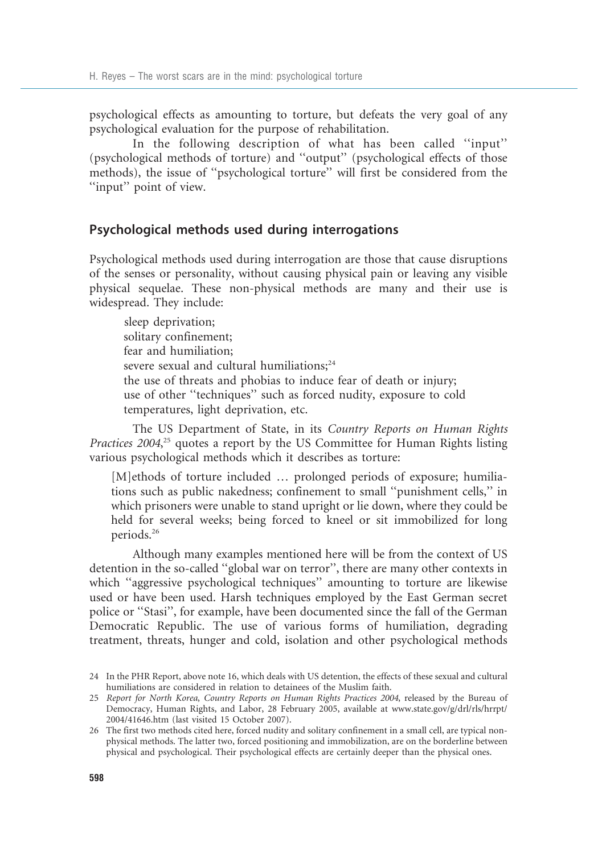psychological effects as amounting to torture, but defeats the very goal of any psychological evaluation for the purpose of rehabilitation.

In the following description of what has been called ''input'' (psychological methods of torture) and ''output'' (psychological effects of those methods), the issue of ''psychological torture'' will first be considered from the ''input'' point of view.

## Psychological methods used during interrogations

Psychological methods used during interrogation are those that cause disruptions of the senses or personality, without causing physical pain or leaving any visible physical sequelae. These non-physical methods are many and their use is widespread. They include:

sleep deprivation; solitary confinement; fear and humiliation; severe sexual and cultural humiliations;<sup>24</sup> the use of threats and phobias to induce fear of death or injury; use of other ''techniques'' such as forced nudity, exposure to cold temperatures, light deprivation, etc.

The US Department of State, in its Country Reports on Human Rights Practices 2004,<sup>25</sup> quotes a report by the US Committee for Human Rights listing various psychological methods which it describes as torture:

[M]ethods of torture included … prolonged periods of exposure; humiliations such as public nakedness; confinement to small ''punishment cells,'' in which prisoners were unable to stand upright or lie down, where they could be held for several weeks; being forced to kneel or sit immobilized for long periods.26

Although many examples mentioned here will be from the context of US detention in the so-called ''global war on terror'', there are many other contexts in which "aggressive psychological techniques" amounting to torture are likewise used or have been used. Harsh techniques employed by the East German secret police or ''Stasi'', for example, have been documented since the fall of the German Democratic Republic. The use of various forms of humiliation, degrading treatment, threats, hunger and cold, isolation and other psychological methods

<sup>24</sup> In the PHR Report, above note 16, which deals with US detention, the effects of these sexual and cultural humiliations are considered in relation to detainees of the Muslim faith.

<sup>25</sup> Report for North Korea, Country Reports on Human Rights Practices 2004, released by the Bureau of Democracy, Human Rights, and Labor, 28 February 2005, available at www.state.gov/g/drl/rls/hrrpt/ 2004/41646.htm (last visited 15 October 2007).

<sup>26</sup> The first two methods cited here, forced nudity and solitary confinement in a small cell, are typical nonphysical methods. The latter two, forced positioning and immobilization, are on the borderline between physical and psychological. Their psychological effects are certainly deeper than the physical ones.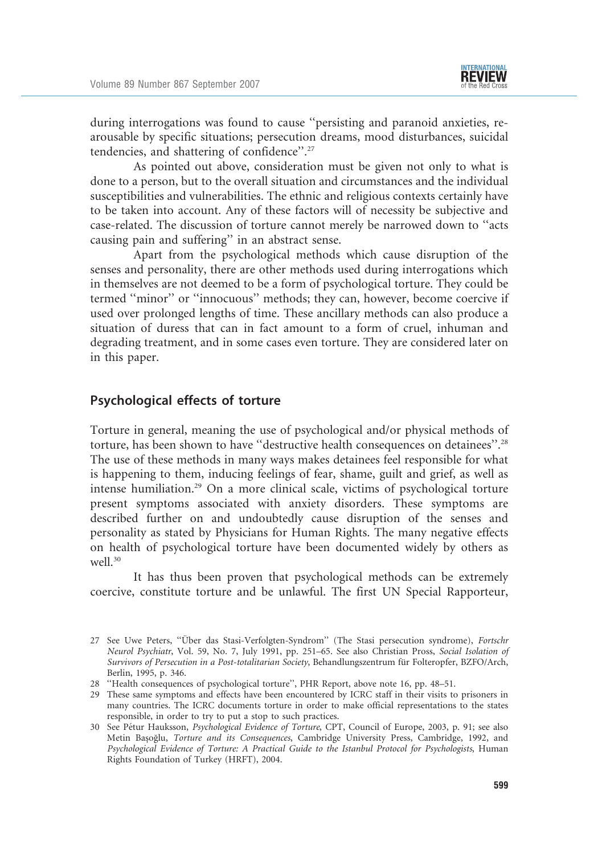

during interrogations was found to cause ''persisting and paranoid anxieties, rearousable by specific situations; persecution dreams, mood disturbances, suicidal tendencies, and shattering of confidence".<sup>27</sup>

As pointed out above, consideration must be given not only to what is done to a person, but to the overall situation and circumstances and the individual susceptibilities and vulnerabilities. The ethnic and religious contexts certainly have to be taken into account. Any of these factors will of necessity be subjective and case-related. The discussion of torture cannot merely be narrowed down to ''acts causing pain and suffering'' in an abstract sense.

Apart from the psychological methods which cause disruption of the senses and personality, there are other methods used during interrogations which in themselves are not deemed to be a form of psychological torture. They could be termed ''minor'' or ''innocuous'' methods; they can, however, become coercive if used over prolonged lengths of time. These ancillary methods can also produce a situation of duress that can in fact amount to a form of cruel, inhuman and degrading treatment, and in some cases even torture. They are considered later on in this paper.

## Psychological effects of torture

Torture in general, meaning the use of psychological and/or physical methods of torture, has been shown to have ''destructive health consequences on detainees''.28 The use of these methods in many ways makes detainees feel responsible for what is happening to them, inducing feelings of fear, shame, guilt and grief, as well as intense humiliation.29 On a more clinical scale, victims of psychological torture present symptoms associated with anxiety disorders. These symptoms are described further on and undoubtedly cause disruption of the senses and personality as stated by Physicians for Human Rights. The many negative effects on health of psychological torture have been documented widely by others as well $30$ 

It has thus been proven that psychological methods can be extremely coercive, constitute torture and be unlawful. The first UN Special Rapporteur,

<sup>27</sup> See Uwe Peters, "Über das Stasi-Verfolgten-Syndrom" (The Stasi persecution syndrome), Fortschr Neurol Psychiatr, Vol. 59, No. 7, July 1991, pp. 251–65. See also Christian Pross, Social Isolation of Survivors of Persecution in a Post-totalitarian Society, Behandlungszentrum für Folteropfer, BZFO/Arch, Berlin, 1995, p. 346.

<sup>28 &#</sup>x27;'Health consequences of psychological torture'', PHR Report, above note 16, pp. 48–51.

<sup>29</sup> These same symptoms and effects have been encountered by ICRC staff in their visits to prisoners in many countries. The ICRC documents torture in order to make official representations to the states responsible, in order to try to put a stop to such practices.

<sup>30</sup> See Pétur Hauksson, Psychological Evidence of Torture, CPT, Council of Europe, 2003, p. 91; see also Metin Başoğlu, Torture and its Consequences, Cambridge University Press, Cambridge, 1992, and Psychological Evidence of Torture: A Practical Guide to the Istanbul Protocol for Psychologists, Human Rights Foundation of Turkey (HRFT), 2004.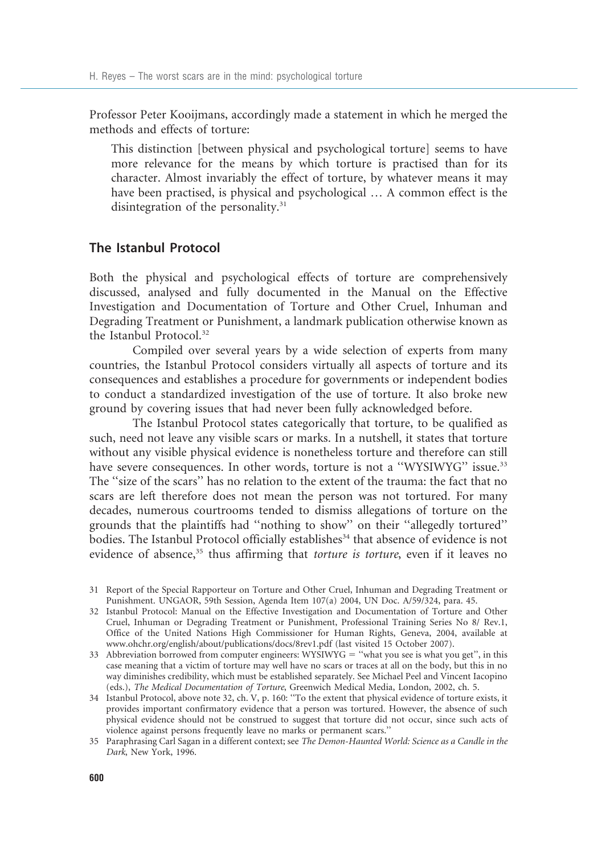Professor Peter Kooijmans, accordingly made a statement in which he merged the methods and effects of torture:

This distinction [between physical and psychological torture] seems to have more relevance for the means by which torture is practised than for its character. Almost invariably the effect of torture, by whatever means it may have been practised, is physical and psychological … A common effect is the disintegration of the personality.<sup>31</sup>

## The Istanbul Protocol

Both the physical and psychological effects of torture are comprehensively discussed, analysed and fully documented in the Manual on the Effective Investigation and Documentation of Torture and Other Cruel, Inhuman and Degrading Treatment or Punishment, a landmark publication otherwise known as the Istanbul Protocol.<sup>32</sup>

Compiled over several years by a wide selection of experts from many countries, the Istanbul Protocol considers virtually all aspects of torture and its consequences and establishes a procedure for governments or independent bodies to conduct a standardized investigation of the use of torture. It also broke new ground by covering issues that had never been fully acknowledged before.

The Istanbul Protocol states categorically that torture, to be qualified as such, need not leave any visible scars or marks. In a nutshell, it states that torture without any visible physical evidence is nonetheless torture and therefore can still have severe consequences. In other words, torture is not a "WYSIWYG" issue.<sup>33</sup> The ''size of the scars'' has no relation to the extent of the trauma: the fact that no scars are left therefore does not mean the person was not tortured. For many decades, numerous courtrooms tended to dismiss allegations of torture on the grounds that the plaintiffs had ''nothing to show'' on their ''allegedly tortured'' bodies. The Istanbul Protocol officially establishes<sup>34</sup> that absence of evidence is not evidence of absence,<sup>35</sup> thus affirming that torture is torture, even if it leaves no

<sup>31</sup> Report of the Special Rapporteur on Torture and Other Cruel, Inhuman and Degrading Treatment or Punishment. UNGAOR, 59th Session, Agenda Item 107(a) 2004, UN Doc. A/59/324, para. 45.

<sup>32</sup> Istanbul Protocol: Manual on the Effective Investigation and Documentation of Torture and Other Cruel, Inhuman or Degrading Treatment or Punishment, Professional Training Series No 8/ Rev.1, Office of the United Nations High Commissioner for Human Rights, Geneva, 2004, available at www.ohchr.org/english/about/publications/docs/8rev1.pdf (last visited 15 October 2007).

<sup>33</sup> Abbreviation borrowed from computer engineers: WYSIWYG = "what you see is what you get", in this case meaning that a victim of torture may well have no scars or traces at all on the body, but this in no way diminishes credibility, which must be established separately. See Michael Peel and Vincent Iacopino (eds.), The Medical Documentation of Torture, Greenwich Medical Media, London, 2002, ch. 5.

<sup>34</sup> Istanbul Protocol, above note 32, ch. V, p. 160: ''To the extent that physical evidence of torture exists, it provides important confirmatory evidence that a person was tortured. However, the absence of such physical evidence should not be construed to suggest that torture did not occur, since such acts of violence against persons frequently leave no marks or permanent scars.''

<sup>35</sup> Paraphrasing Carl Sagan in a different context; see The Demon-Haunted World: Science as a Candle in the Dark, New York, 1996.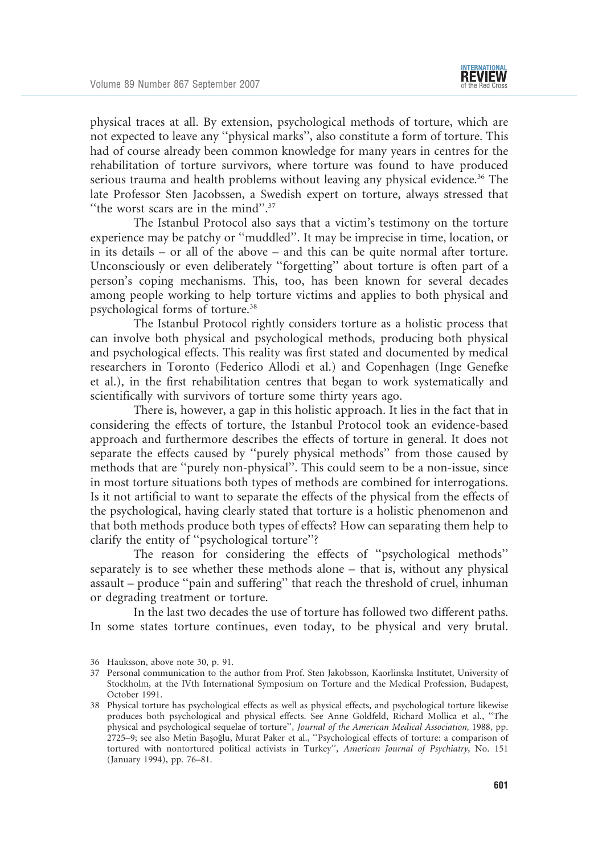physical traces at all. By extension, psychological methods of torture, which are not expected to leave any ''physical marks'', also constitute a form of torture. This had of course already been common knowledge for many years in centres for the rehabilitation of torture survivors, where torture was found to have produced serious trauma and health problems without leaving any physical evidence.<sup>36</sup> The late Professor Sten Jacobssen, a Swedish expert on torture, always stressed that "the worst scars are in the mind".<sup>37</sup>

The Istanbul Protocol also says that a victim's testimony on the torture experience may be patchy or ''muddled''. It may be imprecise in time, location, or in its details – or all of the above – and this can be quite normal after torture. Unconsciously or even deliberately ''forgetting'' about torture is often part of a person's coping mechanisms. This, too, has been known for several decades among people working to help torture victims and applies to both physical and psychological forms of torture.38

The Istanbul Protocol rightly considers torture as a holistic process that can involve both physical and psychological methods, producing both physical and psychological effects. This reality was first stated and documented by medical researchers in Toronto (Federico Allodi et al.) and Copenhagen (Inge Genefke et al.), in the first rehabilitation centres that began to work systematically and scientifically with survivors of torture some thirty years ago.

There is, however, a gap in this holistic approach. It lies in the fact that in considering the effects of torture, the Istanbul Protocol took an evidence-based approach and furthermore describes the effects of torture in general. It does not separate the effects caused by ''purely physical methods'' from those caused by methods that are ''purely non-physical''. This could seem to be a non-issue, since in most torture situations both types of methods are combined for interrogations. Is it not artificial to want to separate the effects of the physical from the effects of the psychological, having clearly stated that torture is a holistic phenomenon and that both methods produce both types of effects? How can separating them help to clarify the entity of ''psychological torture''?

The reason for considering the effects of ''psychological methods'' separately is to see whether these methods alone – that is, without any physical assault – produce ''pain and suffering'' that reach the threshold of cruel, inhuman or degrading treatment or torture.

In the last two decades the use of torture has followed two different paths. In some states torture continues, even today, to be physical and very brutal.

<sup>36</sup> Hauksson, above note 30, p. 91.

<sup>37</sup> Personal communication to the author from Prof. Sten Jakobsson, Kaorlinska Institutet, University of Stockholm, at the IVth International Symposium on Torture and the Medical Profession, Budapest, October 1991.

<sup>38</sup> Physical torture has psychological effects as well as physical effects, and psychological torture likewise produces both psychological and physical effects. See Anne Goldfeld, Richard Mollica et al., ''The physical and psychological sequelae of torture'', Journal of the American Medical Association, 1988, pp. 2725–9; see also Metin Başoğlu, Murat Paker et al., "Psychological effects of torture: a comparison of tortured with nontortured political activists in Turkey'', American Journal of Psychiatry, No. 151 (January 1994), pp. 76–81.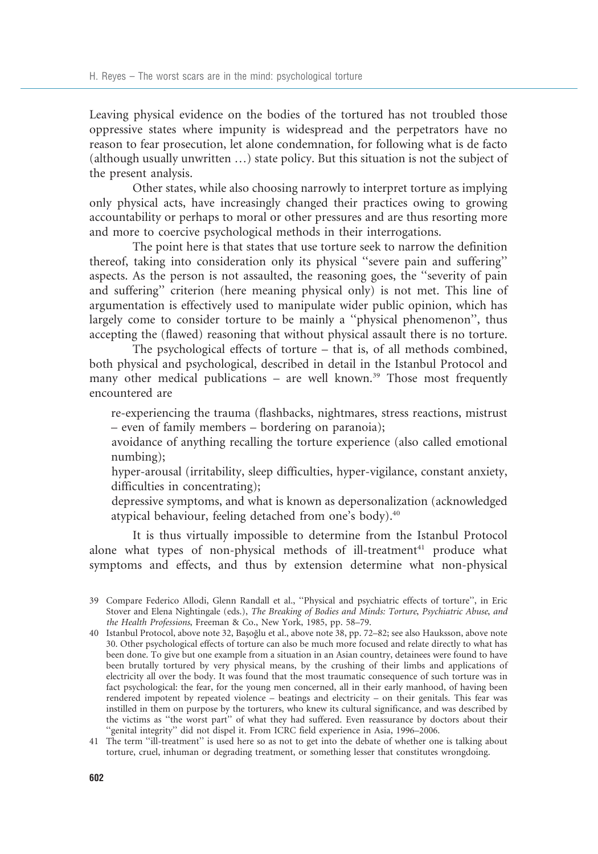Leaving physical evidence on the bodies of the tortured has not troubled those oppressive states where impunity is widespread and the perpetrators have no reason to fear prosecution, let alone condemnation, for following what is de facto (although usually unwritten …) state policy. But this situation is not the subject of the present analysis.

Other states, while also choosing narrowly to interpret torture as implying only physical acts, have increasingly changed their practices owing to growing accountability or perhaps to moral or other pressures and are thus resorting more and more to coercive psychological methods in their interrogations.

The point here is that states that use torture seek to narrow the definition thereof, taking into consideration only its physical ''severe pain and suffering'' aspects. As the person is not assaulted, the reasoning goes, the ''severity of pain and suffering'' criterion (here meaning physical only) is not met. This line of argumentation is effectively used to manipulate wider public opinion, which has largely come to consider torture to be mainly a ''physical phenomenon'', thus accepting the (flawed) reasoning that without physical assault there is no torture.

The psychological effects of torture – that is, of all methods combined, both physical and psychological, described in detail in the Istanbul Protocol and many other medical publications – are well known.<sup>39</sup> Those most frequently encountered are

re-experiencing the trauma (flashbacks, nightmares, stress reactions, mistrust – even of family members – bordering on paranoia);

avoidance of anything recalling the torture experience (also called emotional numbing);

hyper-arousal (irritability, sleep difficulties, hyper-vigilance, constant anxiety, difficulties in concentrating);

depressive symptoms, and what is known as depersonalization (acknowledged atypical behaviour, feeling detached from one's body).<sup>40</sup>

It is thus virtually impossible to determine from the Istanbul Protocol alone what types of non-physical methods of ill-treatment<sup>41</sup> produce what symptoms and effects, and thus by extension determine what non-physical

<sup>39</sup> Compare Federico Allodi, Glenn Randall et al., ''Physical and psychiatric effects of torture'', in Eric Stover and Elena Nightingale (eds.), The Breaking of Bodies and Minds: Torture, Psychiatric Abuse, and the Health Professions, Freeman & Co., New York, 1985, pp. 58–79.

<sup>40</sup> Istanbul Protocol, above note 32, Bașoğlu et al., above note 38, pp. 72–82; see also Hauksson, above note 30. Other psychological effects of torture can also be much more focused and relate directly to what has been done. To give but one example from a situation in an Asian country, detainees were found to have been brutally tortured by very physical means, by the crushing of their limbs and applications of electricity all over the body. It was found that the most traumatic consequence of such torture was in fact psychological: the fear, for the young men concerned, all in their early manhood, of having been rendered impotent by repeated violence – beatings and electricity – on their genitals. This fear was instilled in them on purpose by the torturers, who knew its cultural significance, and was described by the victims as ''the worst part'' of what they had suffered. Even reassurance by doctors about their ''genital integrity'' did not dispel it. From ICRC field experience in Asia, 1996–2006.

<sup>41</sup> The term ''ill-treatment'' is used here so as not to get into the debate of whether one is talking about torture, cruel, inhuman or degrading treatment, or something lesser that constitutes wrongdoing.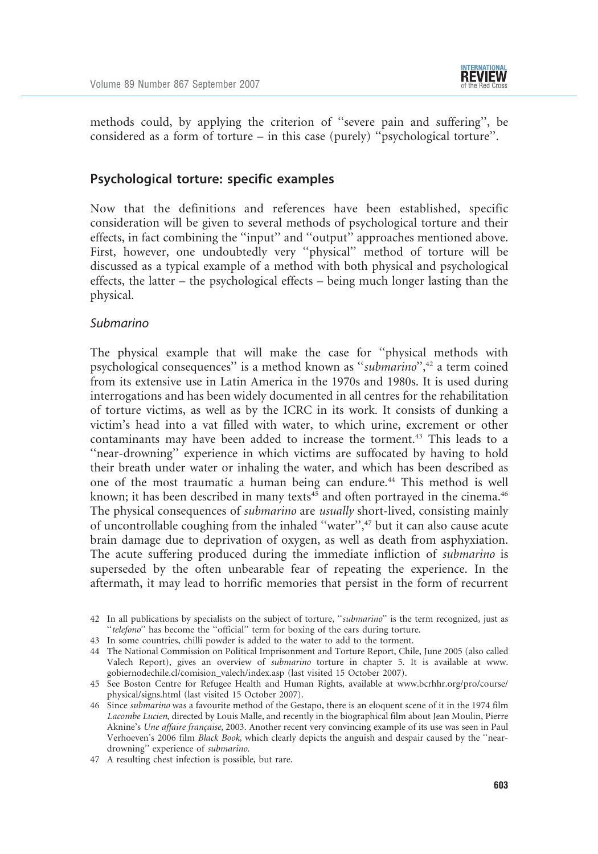

methods could, by applying the criterion of ''severe pain and suffering'', be considered as a form of torture – in this case (purely) ''psychological torture''.

### Psychological torture: specific examples

Now that the definitions and references have been established, specific consideration will be given to several methods of psychological torture and their effects, in fact combining the ''input'' and ''output'' approaches mentioned above. First, however, one undoubtedly very ''physical'' method of torture will be discussed as a typical example of a method with both physical and psychological effects, the latter – the psychological effects – being much longer lasting than the physical.

#### Submarino

The physical example that will make the case for ''physical methods with psychological consequences" is a method known as "submarino",<sup>42</sup> a term coined from its extensive use in Latin America in the 1970s and 1980s. It is used during interrogations and has been widely documented in all centres for the rehabilitation of torture victims, as well as by the ICRC in its work. It consists of dunking a victim's head into a vat filled with water, to which urine, excrement or other contaminants may have been added to increase the torment.<sup>43</sup> This leads to a ''near-drowning'' experience in which victims are suffocated by having to hold their breath under water or inhaling the water, and which has been described as one of the most traumatic a human being can endure.44 This method is well known; it has been described in many texts $45$  and often portrayed in the cinema. $46$ The physical consequences of submarino are usually short-lived, consisting mainly of uncontrollable coughing from the inhaled ''water'',47 but it can also cause acute brain damage due to deprivation of oxygen, as well as death from asphyxiation. The acute suffering produced during the immediate infliction of submarino is superseded by the often unbearable fear of repeating the experience. In the aftermath, it may lead to horrific memories that persist in the form of recurrent

<sup>42</sup> In all publications by specialists on the subject of torture, "submarino" is the term recognized, just as "telefono" has become the "official" term for boxing of the ears during torture.

<sup>43</sup> In some countries, chilli powder is added to the water to add to the torment.

<sup>44</sup> The National Commission on Political Imprisonment and Torture Report, Chile, June 2005 (also called Valech Report), gives an overview of submarino torture in chapter 5. It is available at www. gobiernodechile.cl/comision\_valech/index.asp (last visited 15 October 2007).

<sup>45</sup> See Boston Centre for Refugee Health and Human Rights, available at www.bcrhhr.org/pro/course/ physical/signs.html (last visited 15 October 2007).

<sup>46</sup> Since submarino was a favourite method of the Gestapo, there is an eloquent scene of it in the 1974 film Lacombe Lucien, directed by Louis Malle, and recently in the biographical film about Jean Moulin, Pierre Aknine's Une affaire française, 2003. Another recent very convincing example of its use was seen in Paul Verhoeven's 2006 film Black Book, which clearly depicts the anguish and despair caused by the ''neardrowning'' experience of submarino.

<sup>47</sup> A resulting chest infection is possible, but rare.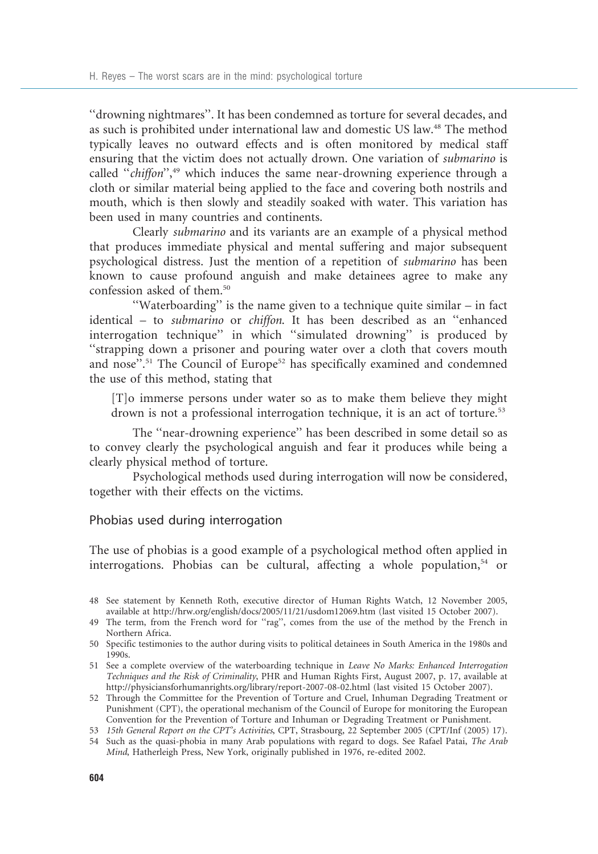''drowning nightmares''. It has been condemned as torture for several decades, and as such is prohibited under international law and domestic US law.48 The method typically leaves no outward effects and is often monitored by medical staff ensuring that the victim does not actually drown. One variation of submarino is called "chiffon",<sup>49</sup> which induces the same near-drowning experience through a cloth or similar material being applied to the face and covering both nostrils and mouth, which is then slowly and steadily soaked with water. This variation has been used in many countries and continents.

Clearly submarino and its variants are an example of a physical method that produces immediate physical and mental suffering and major subsequent psychological distress. Just the mention of a repetition of submarino has been known to cause profound anguish and make detainees agree to make any confession asked of them.50

''Waterboarding'' is the name given to a technique quite similar – in fact identical – to submarino or chiffon. It has been described as an ''enhanced interrogation technique'' in which ''simulated drowning'' is produced by ''strapping down a prisoner and pouring water over a cloth that covers mouth and nose".<sup>51</sup> The Council of Europe<sup>52</sup> has specifically examined and condemned the use of this method, stating that

[T]o immerse persons under water so as to make them believe they might drown is not a professional interrogation technique, it is an act of torture.<sup>53</sup>

The ''near-drowning experience'' has been described in some detail so as to convey clearly the psychological anguish and fear it produces while being a clearly physical method of torture.

Psychological methods used during interrogation will now be considered, together with their effects on the victims.

#### Phobias used during interrogation

The use of phobias is a good example of a psychological method often applied in interrogations. Phobias can be cultural, affecting a whole population,<sup>54</sup> or

<sup>48</sup> See statement by Kenneth Roth, executive director of Human Rights Watch, 12 November 2005, available at http://hrw.org/english/docs/2005/11/21/usdom12069.htm (last visited 15 October 2007).

<sup>49</sup> The term, from the French word for ''rag'', comes from the use of the method by the French in Northern Africa.

<sup>50</sup> Specific testimonies to the author during visits to political detainees in South America in the 1980s and 1990s.

<sup>51</sup> See a complete overview of the waterboarding technique in Leave No Marks: Enhanced Interrogation Techniques and the Risk of Criminality, PHR and Human Rights First, August 2007, p. 17, available at http://physiciansforhumanrights.org/library/report-2007-08-02.html (last visited 15 October 2007).

<sup>52</sup> Through the Committee for the Prevention of Torture and Cruel, Inhuman Degrading Treatment or Punishment (CPT), the operational mechanism of the Council of Europe for monitoring the European Convention for the Prevention of Torture and Inhuman or Degrading Treatment or Punishment.

<sup>53</sup> 15th General Report on the CPT's Activities, CPT, Strasbourg, 22 September 2005 (CPT/Inf (2005) 17).

<sup>54</sup> Such as the quasi-phobia in many Arab populations with regard to dogs. See Rafael Patai, The Arab Mind, Hatherleigh Press, New York, originally published in 1976, re-edited 2002.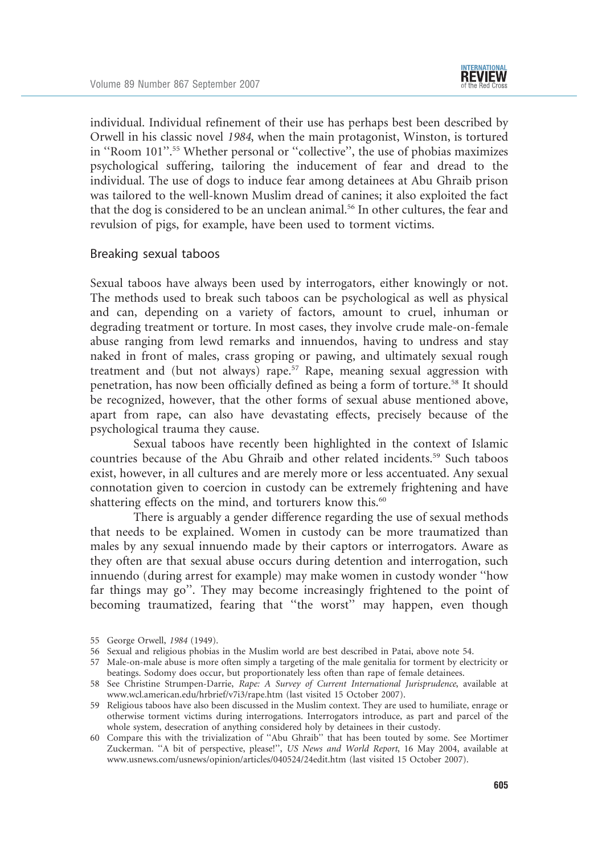individual. Individual refinement of their use has perhaps best been described by Orwell in his classic novel 1984, when the main protagonist, Winston, is tortured in "Room 101".<sup>55</sup> Whether personal or "collective", the use of phobias maximizes psychological suffering, tailoring the inducement of fear and dread to the individual. The use of dogs to induce fear among detainees at Abu Ghraib prison was tailored to the well-known Muslim dread of canines; it also exploited the fact that the dog is considered to be an unclean animal.<sup>56</sup> In other cultures, the fear and revulsion of pigs, for example, have been used to torment victims.

### Breaking sexual taboos

Sexual taboos have always been used by interrogators, either knowingly or not. The methods used to break such taboos can be psychological as well as physical and can, depending on a variety of factors, amount to cruel, inhuman or degrading treatment or torture. In most cases, they involve crude male-on-female abuse ranging from lewd remarks and innuendos, having to undress and stay naked in front of males, crass groping or pawing, and ultimately sexual rough treatment and (but not always) rape.<sup>57</sup> Rape, meaning sexual aggression with penetration, has now been officially defined as being a form of torture.<sup>58</sup> It should be recognized, however, that the other forms of sexual abuse mentioned above, apart from rape, can also have devastating effects, precisely because of the psychological trauma they cause.

Sexual taboos have recently been highlighted in the context of Islamic countries because of the Abu Ghraib and other related incidents.59 Such taboos exist, however, in all cultures and are merely more or less accentuated. Any sexual connotation given to coercion in custody can be extremely frightening and have shattering effects on the mind, and torturers know this.<sup>60</sup>

There is arguably a gender difference regarding the use of sexual methods that needs to be explained. Women in custody can be more traumatized than males by any sexual innuendo made by their captors or interrogators. Aware as they often are that sexual abuse occurs during detention and interrogation, such innuendo (during arrest for example) may make women in custody wonder ''how far things may go''. They may become increasingly frightened to the point of becoming traumatized, fearing that ''the worst'' may happen, even though

<sup>55</sup> George Orwell, 1984 (1949).

<sup>56</sup> Sexual and religious phobias in the Muslim world are best described in Patai, above note 54.

<sup>57</sup> Male-on-male abuse is more often simply a targeting of the male genitalia for torment by electricity or beatings. Sodomy does occur, but proportionately less often than rape of female detainees.

<sup>58</sup> See Christine Strumpen-Darrie, Rape: A Survey of Current International Jurisprudence, available at www.wcl.american.edu/hrbrief/v7i3/rape.htm (last visited 15 October 2007).

<sup>59</sup> Religious taboos have also been discussed in the Muslim context. They are used to humiliate, enrage or otherwise torment victims during interrogations. Interrogators introduce, as part and parcel of the whole system, desecration of anything considered holy by detainees in their custody.

<sup>60</sup> Compare this with the trivialization of ''Abu Ghraib'' that has been touted by some. See Mortimer Zuckerman. ''A bit of perspective, please!'', US News and World Report, 16 May 2004, available at www.usnews.com/usnews/opinion/articles/040524/24edit.htm (last visited 15 October 2007).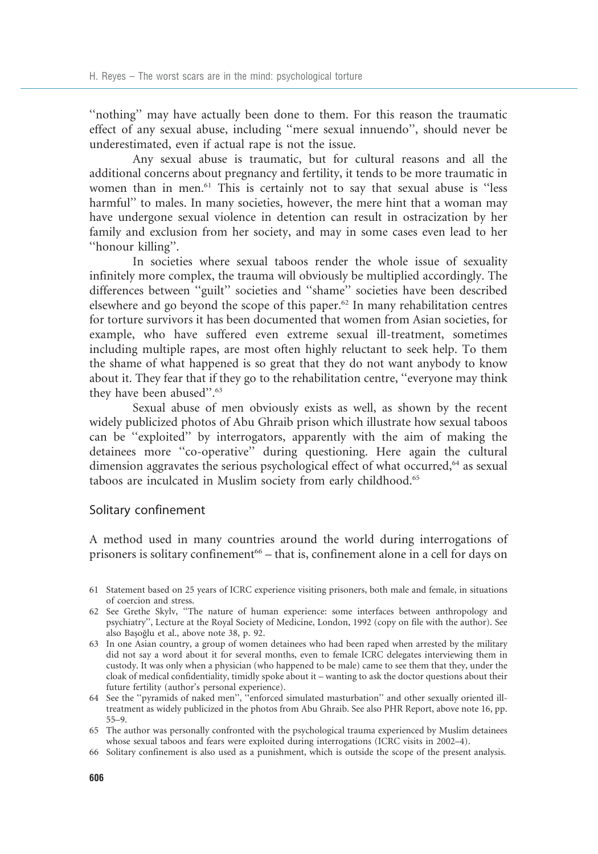''nothing'' may have actually been done to them. For this reason the traumatic effect of any sexual abuse, including ''mere sexual innuendo'', should never be underestimated, even if actual rape is not the issue.

Any sexual abuse is traumatic, but for cultural reasons and all the additional concerns about pregnancy and fertility, it tends to be more traumatic in women than in men.<sup>61</sup> This is certainly not to say that sexual abuse is "less harmful" to males. In many societies, however, the mere hint that a woman may have undergone sexual violence in detention can result in ostracization by her family and exclusion from her society, and may in some cases even lead to her ''honour killing''.

In societies where sexual taboos render the whole issue of sexuality infinitely more complex, the trauma will obviously be multiplied accordingly. The differences between ''guilt'' societies and ''shame'' societies have been described elsewhere and go beyond the scope of this paper.<sup>62</sup> In many rehabilitation centres for torture survivors it has been documented that women from Asian societies, for example, who have suffered even extreme sexual ill-treatment, sometimes including multiple rapes, are most often highly reluctant to seek help. To them the shame of what happened is so great that they do not want anybody to know about it. They fear that if they go to the rehabilitation centre, ''everyone may think they have been abused".<sup>63</sup>

Sexual abuse of men obviously exists as well, as shown by the recent widely publicized photos of Abu Ghraib prison which illustrate how sexual taboos can be ''exploited'' by interrogators, apparently with the aim of making the detainees more "co-operative" during questioning. Here again the cultural dimension aggravates the serious psychological effect of what occurred, $64$  as sexual taboos are inculcated in Muslim society from early childhood.<sup>65</sup>

#### Solitary confinement

A method used in many countries around the world during interrogations of prisoners is solitary confinement<sup>66</sup> – that is, confinement alone in a cell for days on

<sup>61</sup> Statement based on 25 years of ICRC experience visiting prisoners, both male and female, in situations of coercion and stress.

<sup>62</sup> See Grethe Skylv, ''The nature of human experience: some interfaces between anthropology and psychiatry'', Lecture at the Royal Society of Medicine, London, 1992 (copy on file with the author). See also Bașoğlu et al., above note 38, p. 92.

<sup>63</sup> In one Asian country, a group of women detainees who had been raped when arrested by the military did not say a word about it for several months, even to female ICRC delegates interviewing them in custody. It was only when a physician (who happened to be male) came to see them that they, under the cloak of medical confidentiality, timidly spoke about it – wanting to ask the doctor questions about their future fertility (author's personal experience).

<sup>64</sup> See the ''pyramids of naked men'', ''enforced simulated masturbation'' and other sexually oriented illtreatment as widely publicized in the photos from Abu Ghraib. See also PHR Report, above note 16, pp. 55–9.

<sup>65</sup> The author was personally confronted with the psychological trauma experienced by Muslim detainees whose sexual taboos and fears were exploited during interrogations (ICRC visits in 2002–4).

<sup>66</sup> Solitary confinement is also used as a punishment, which is outside the scope of the present analysis.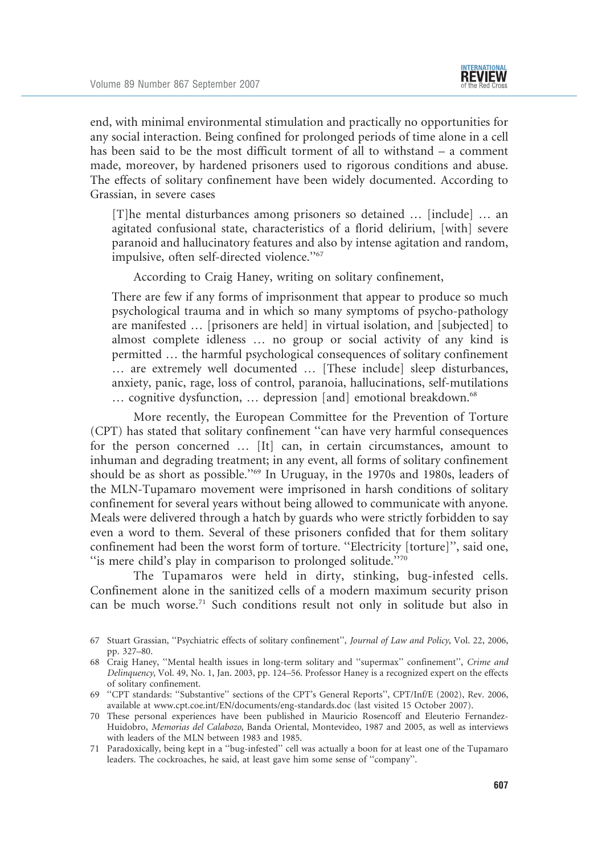end, with minimal environmental stimulation and practically no opportunities for any social interaction. Being confined for prolonged periods of time alone in a cell has been said to be the most difficult torment of all to withstand – a comment made, moreover, by hardened prisoners used to rigorous conditions and abuse. The effects of solitary confinement have been widely documented. According to Grassian, in severe cases

[T]he mental disturbances among prisoners so detained … [include] … an agitated confusional state, characteristics of a florid delirium, [with] severe paranoid and hallucinatory features and also by intense agitation and random, impulsive, often self-directed violence."<sup>67</sup>

According to Craig Haney, writing on solitary confinement,

There are few if any forms of imprisonment that appear to produce so much psychological trauma and in which so many symptoms of psycho-pathology are manifested … [prisoners are held] in virtual isolation, and [subjected] to almost complete idleness … no group or social activity of any kind is permitted … the harmful psychological consequences of solitary confinement … are extremely well documented … [These include] sleep disturbances, anxiety, panic, rage, loss of control, paranoia, hallucinations, self-mutilations ... cognitive dysfunction, ... depression [and] emotional breakdown.<sup>68</sup>

More recently, the European Committee for the Prevention of Torture (CPT) has stated that solitary confinement ''can have very harmful consequences for the person concerned … [It] can, in certain circumstances, amount to inhuman and degrading treatment; in any event, all forms of solitary confinement should be as short as possible."<sup>69</sup> In Uruguay, in the 1970s and 1980s, leaders of the MLN-Tupamaro movement were imprisoned in harsh conditions of solitary confinement for several years without being allowed to communicate with anyone. Meals were delivered through a hatch by guards who were strictly forbidden to say even a word to them. Several of these prisoners confided that for them solitary confinement had been the worst form of torture. "Electricity [torture]", said one, "is mere child's play in comparison to prolonged solitude."70

The Tupamaros were held in dirty, stinking, bug-infested cells. Confinement alone in the sanitized cells of a modern maximum security prison can be much worse.71 Such conditions result not only in solitude but also in

<sup>67</sup> Stuart Grassian, ''Psychiatric effects of solitary confinement'', Journal of Law and Policy, Vol. 22, 2006, pp. 327–80.

<sup>68</sup> Craig Haney, ''Mental health issues in long-term solitary and ''supermax'' confinement'', Crime and Delinquency, Vol. 49, No. 1, Jan. 2003, pp. 124–56. Professor Haney is a recognized expert on the effects of solitary confinement.

<sup>69 &#</sup>x27;'CPT standards: ''Substantive'' sections of the CPT's General Reports'', CPT/Inf/E (2002), Rev. 2006, available at www.cpt.coe.int/EN/documents/eng-standards.doc (last visited 15 October 2007).

<sup>70</sup> These personal experiences have been published in Mauricio Rosencoff and Eleuterio Fernandez-Huidobro, Memorias del Calabozo, Banda Oriental, Montevideo, 1987 and 2005, as well as interviews with leaders of the MLN between 1983 and 1985.

<sup>71</sup> Paradoxically, being kept in a ''bug-infested'' cell was actually a boon for at least one of the Tupamaro leaders. The cockroaches, he said, at least gave him some sense of ''company''.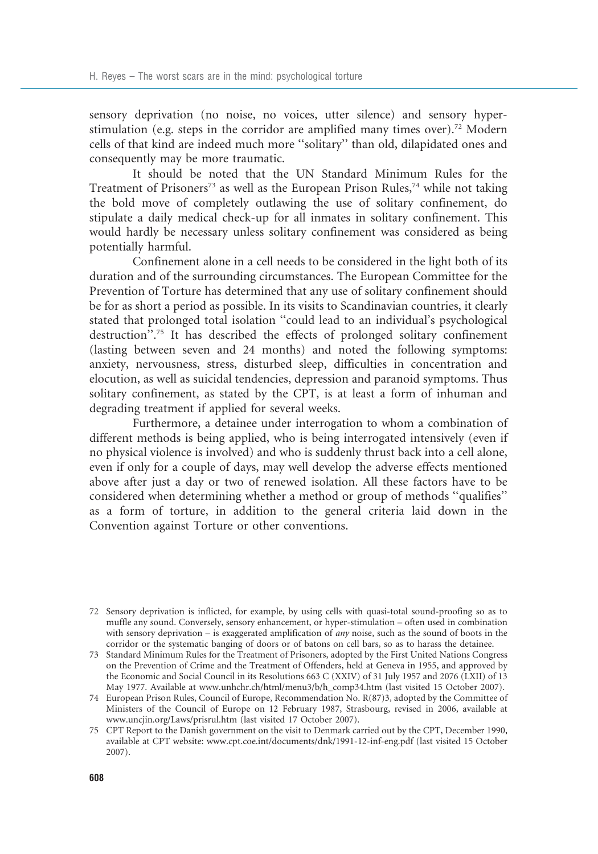sensory deprivation (no noise, no voices, utter silence) and sensory hyperstimulation (e.g. steps in the corridor are amplified many times over).<sup>72</sup> Modern cells of that kind are indeed much more ''solitary'' than old, dilapidated ones and consequently may be more traumatic.

It should be noted that the UN Standard Minimum Rules for the Treatment of Prisoners<sup>73</sup> as well as the European Prison Rules,<sup>74</sup> while not taking the bold move of completely outlawing the use of solitary confinement, do stipulate a daily medical check-up for all inmates in solitary confinement. This would hardly be necessary unless solitary confinement was considered as being potentially harmful.

Confinement alone in a cell needs to be considered in the light both of its duration and of the surrounding circumstances. The European Committee for the Prevention of Torture has determined that any use of solitary confinement should be for as short a period as possible. In its visits to Scandinavian countries, it clearly stated that prolonged total isolation ''could lead to an individual's psychological destruction".<sup>75</sup> It has described the effects of prolonged solitary confinement (lasting between seven and 24 months) and noted the following symptoms: anxiety, nervousness, stress, disturbed sleep, difficulties in concentration and elocution, as well as suicidal tendencies, depression and paranoid symptoms. Thus solitary confinement, as stated by the CPT, is at least a form of inhuman and degrading treatment if applied for several weeks.

Furthermore, a detainee under interrogation to whom a combination of different methods is being applied, who is being interrogated intensively (even if no physical violence is involved) and who is suddenly thrust back into a cell alone, even if only for a couple of days, may well develop the adverse effects mentioned above after just a day or two of renewed isolation. All these factors have to be considered when determining whether a method or group of methods ''qualifies'' as a form of torture, in addition to the general criteria laid down in the Convention against Torture or other conventions.

<sup>72</sup> Sensory deprivation is inflicted, for example, by using cells with quasi-total sound-proofing so as to muffle any sound. Conversely, sensory enhancement, or hyper-stimulation – often used in combination with sensory deprivation  $-$  is exaggerated amplification of *any* noise, such as the sound of boots in the corridor or the systematic banging of doors or of batons on cell bars, so as to harass the detainee.

<sup>73</sup> Standard Minimum Rules for the Treatment of Prisoners, adopted by the First United Nations Congress on the Prevention of Crime and the Treatment of Offenders, held at Geneva in 1955, and approved by the Economic and Social Council in its Resolutions 663 C (XXIV) of 31 July 1957 and 2076 (LXII) of 13 May 1977. Available at www.unhchr.ch/html/menu3/b/h\_comp34.htm (last visited 15 October 2007).

<sup>74</sup> European Prison Rules, Council of Europe, Recommendation No. R(87)3, adopted by the Committee of Ministers of the Council of Europe on 12 February 1987, Strasbourg, revised in 2006, available at www.uncjin.org/Laws/prisrul.htm (last visited 17 October 2007).

<sup>75</sup> CPT Report to the Danish government on the visit to Denmark carried out by the CPT, December 1990, available at CPT website: www.cpt.coe.int/documents/dnk/1991-12-inf-eng.pdf (last visited 15 October 2007).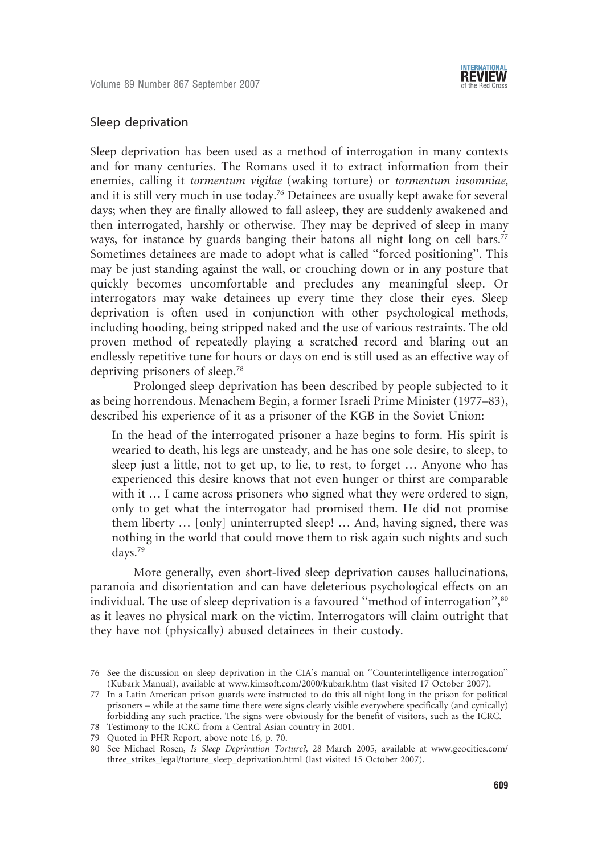

## Sleep deprivation

Sleep deprivation has been used as a method of interrogation in many contexts and for many centuries. The Romans used it to extract information from their enemies, calling it tormentum vigilae (waking torture) or tormentum insomniae, and it is still very much in use today.76 Detainees are usually kept awake for several days; when they are finally allowed to fall asleep, they are suddenly awakened and then interrogated, harshly or otherwise. They may be deprived of sleep in many ways, for instance by guards banging their batons all night long on cell bars.<sup>77</sup> Sometimes detainees are made to adopt what is called ''forced positioning''. This may be just standing against the wall, or crouching down or in any posture that quickly becomes uncomfortable and precludes any meaningful sleep. Or interrogators may wake detainees up every time they close their eyes. Sleep deprivation is often used in conjunction with other psychological methods, including hooding, being stripped naked and the use of various restraints. The old proven method of repeatedly playing a scratched record and blaring out an endlessly repetitive tune for hours or days on end is still used as an effective way of depriving prisoners of sleep.78

Prolonged sleep deprivation has been described by people subjected to it as being horrendous. Menachem Begin, a former Israeli Prime Minister (1977–83), described his experience of it as a prisoner of the KGB in the Soviet Union:

In the head of the interrogated prisoner a haze begins to form. His spirit is wearied to death, his legs are unsteady, and he has one sole desire, to sleep, to sleep just a little, not to get up, to lie, to rest, to forget … Anyone who has experienced this desire knows that not even hunger or thirst are comparable with it ... I came across prisoners who signed what they were ordered to sign, only to get what the interrogator had promised them. He did not promise them liberty … [only] uninterrupted sleep! … And, having signed, there was nothing in the world that could move them to risk again such nights and such days.79

More generally, even short-lived sleep deprivation causes hallucinations, paranoia and disorientation and can have deleterious psychological effects on an individual. The use of sleep deprivation is a favoured "method of interrogation",<sup>80</sup> as it leaves no physical mark on the victim. Interrogators will claim outright that they have not (physically) abused detainees in their custody.

<sup>76</sup> See the discussion on sleep deprivation in the CIA's manual on ''Counterintelligence interrogation'' (Kubark Manual), available at www.kimsoft.com/2000/kubark.htm (last visited 17 October 2007).

<sup>77</sup> In a Latin American prison guards were instructed to do this all night long in the prison for political prisoners – while at the same time there were signs clearly visible everywhere specifically (and cynically) forbidding any such practice. The signs were obviously for the benefit of visitors, such as the ICRC.

<sup>78</sup> Testimony to the ICRC from a Central Asian country in 2001.

<sup>79</sup> Quoted in PHR Report, above note 16, p. 70.

<sup>80</sup> See Michael Rosen, Is Sleep Deprivation Torture?, 28 March 2005, available at www.geocities.com/ three\_strikes\_legal/torture\_sleep\_deprivation.html (last visited 15 October 2007).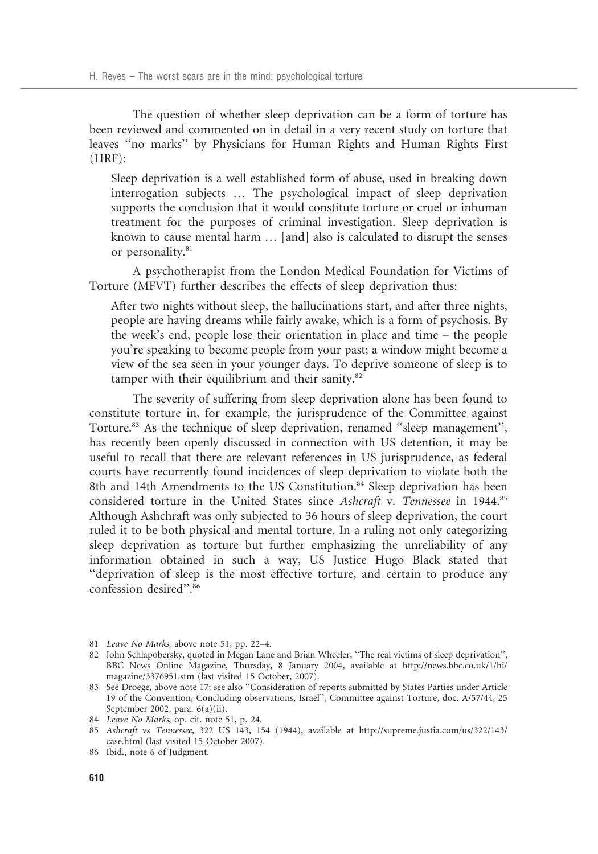The question of whether sleep deprivation can be a form of torture has been reviewed and commented on in detail in a very recent study on torture that leaves ''no marks'' by Physicians for Human Rights and Human Rights First (HRF):

Sleep deprivation is a well established form of abuse, used in breaking down interrogation subjects … The psychological impact of sleep deprivation supports the conclusion that it would constitute torture or cruel or inhuman treatment for the purposes of criminal investigation. Sleep deprivation is known to cause mental harm … [and] also is calculated to disrupt the senses or personality.<sup>81</sup>

A psychotherapist from the London Medical Foundation for Victims of Torture (MFVT) further describes the effects of sleep deprivation thus:

After two nights without sleep, the hallucinations start, and after three nights, people are having dreams while fairly awake, which is a form of psychosis. By the week's end, people lose their orientation in place and time – the people you're speaking to become people from your past; a window might become a view of the sea seen in your younger days. To deprive someone of sleep is to tamper with their equilibrium and their sanity.<sup>82</sup>

The severity of suffering from sleep deprivation alone has been found to constitute torture in, for example, the jurisprudence of the Committee against Torture.<sup>83</sup> As the technique of sleep deprivation, renamed "sleep management", has recently been openly discussed in connection with US detention, it may be useful to recall that there are relevant references in US jurisprudence, as federal courts have recurrently found incidences of sleep deprivation to violate both the 8th and 14th Amendments to the US Constitution.<sup>84</sup> Sleep deprivation has been considered torture in the United States since Ashcraft v. Tennessee in 1944.<sup>85</sup> Although Ashchraft was only subjected to 36 hours of sleep deprivation, the court ruled it to be both physical and mental torture. In a ruling not only categorizing sleep deprivation as torture but further emphasizing the unreliability of any information obtained in such a way, US Justice Hugo Black stated that ''deprivation of sleep is the most effective torture, and certain to produce any confession desired"<sup>86</sup>

<sup>81</sup> Leave No Marks, above note 51, pp. 22–4.

<sup>82</sup> John Schlapobersky, quoted in Megan Lane and Brian Wheeler, ''The real victims of sleep deprivation'', BBC News Online Magazine, Thursday, 8 January 2004, available at http://news.bbc.co.uk/1/hi/ magazine/3376951.stm (last visited 15 October, 2007).

<sup>83</sup> See Droege, above note 17; see also ''Consideration of reports submitted by States Parties under Article 19 of the Convention, Concluding observations, Israel'', Committee against Torture, doc. A/57/44, 25 September 2002, para. 6(a)(ii).

<sup>84</sup> Leave No Marks, op. cit. note 51, p. 24.

<sup>85</sup> Ashcraft vs Tennessee, 322 US 143, 154 (1944), available at http://supreme.justia.com/us/322/143/ case.html (last visited 15 October 2007).

<sup>86</sup> Ibid., note 6 of Judgment.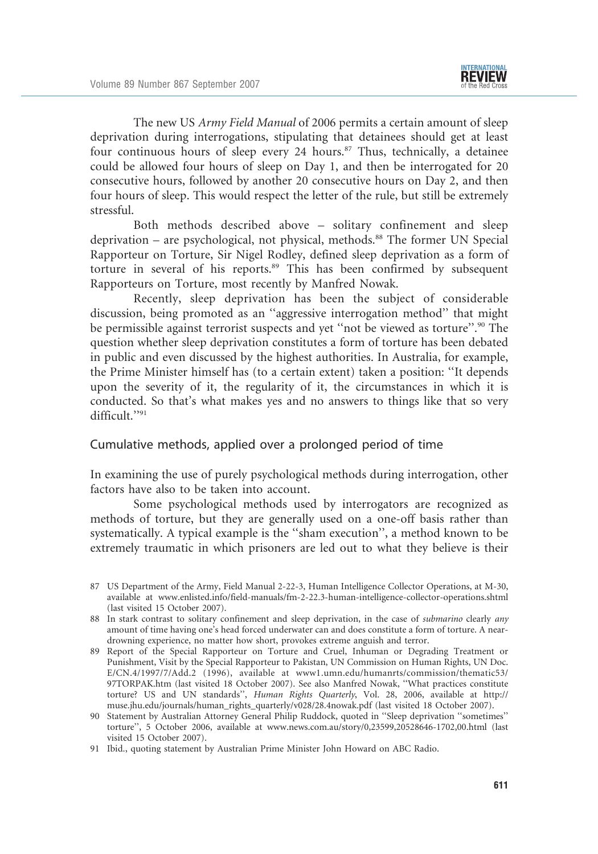The new US Army Field Manual of 2006 permits a certain amount of sleep deprivation during interrogations, stipulating that detainees should get at least four continuous hours of sleep every 24 hours.<sup>87</sup> Thus, technically, a detainee could be allowed four hours of sleep on Day 1, and then be interrogated for 20 consecutive hours, followed by another 20 consecutive hours on Day 2, and then four hours of sleep. This would respect the letter of the rule, but still be extremely stressful.

Both methods described above – solitary confinement and sleep deprivation – are psychological, not physical, methods.<sup>88</sup> The former UN Special Rapporteur on Torture, Sir Nigel Rodley, defined sleep deprivation as a form of torture in several of his reports.<sup>89</sup> This has been confirmed by subsequent Rapporteurs on Torture, most recently by Manfred Nowak.

Recently, sleep deprivation has been the subject of considerable discussion, being promoted as an ''aggressive interrogation method'' that might be permissible against terrorist suspects and yet "not be viewed as torture".<sup>90</sup> The question whether sleep deprivation constitutes a form of torture has been debated in public and even discussed by the highest authorities. In Australia, for example, the Prime Minister himself has (to a certain extent) taken a position: ''It depends upon the severity of it, the regularity of it, the circumstances in which it is conducted. So that's what makes yes and no answers to things like that so very difficult.''91

#### Cumulative methods, applied over a prolonged period of time

In examining the use of purely psychological methods during interrogation, other factors have also to be taken into account.

Some psychological methods used by interrogators are recognized as methods of torture, but they are generally used on a one-off basis rather than systematically. A typical example is the ''sham execution'', a method known to be extremely traumatic in which prisoners are led out to what they believe is their

<sup>87</sup> US Department of the Army, Field Manual 2-22-3, Human Intelligence Collector Operations, at M-30, available at www.enlisted.info/field-manuals/fm-2-22.3-human-intelligence-collector-operations.shtml (last visited 15 October 2007).

<sup>88</sup> In stark contrast to solitary confinement and sleep deprivation, in the case of submarino clearly any amount of time having one's head forced underwater can and does constitute a form of torture. A neardrowning experience, no matter how short, provokes extreme anguish and terror.

<sup>89</sup> Report of the Special Rapporteur on Torture and Cruel, Inhuman or Degrading Treatment or Punishment, Visit by the Special Rapporteur to Pakistan, UN Commission on Human Rights, UN Doc. E/CN.4/1997/7/Add.2 (1996), available at www1.umn.edu/humanrts/commission/thematic53/ 97TORPAK.htm (last visited 18 October 2007). See also Manfred Nowak, ''What practices constitute torture? US and UN standards'', Human Rights Quarterly, Vol. 28, 2006, available at http:// muse.jhu.edu/journals/human\_rights\_quarterly/v028/28.4nowak.pdf (last visited 18 October 2007).

<sup>90</sup> Statement by Australian Attorney General Philip Ruddock, quoted in ''Sleep deprivation ''sometimes'' torture'', 5 October 2006, available at www.news.com.au/story/0,23599,20528646-1702,00.html (last visited 15 October 2007).

<sup>91</sup> Ibid., quoting statement by Australian Prime Minister John Howard on ABC Radio.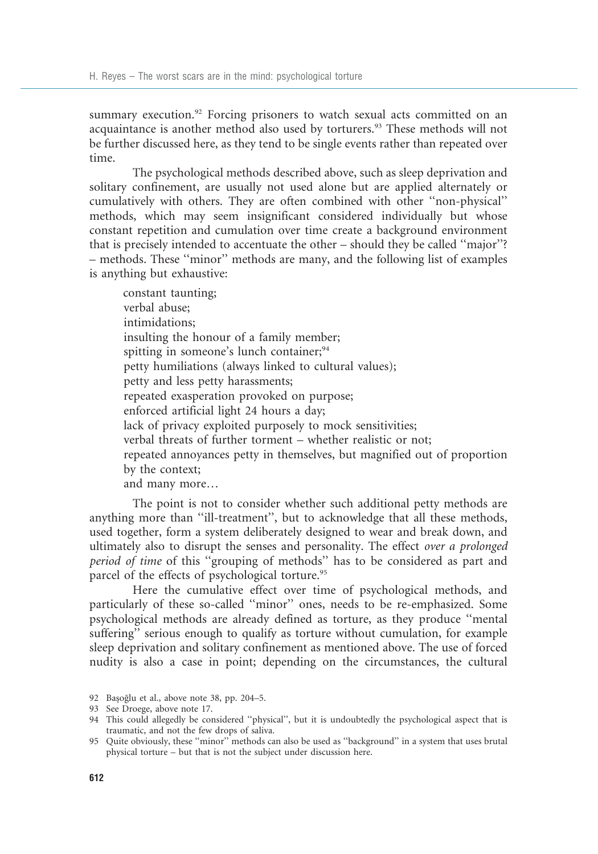summary execution.<sup>92</sup> Forcing prisoners to watch sexual acts committed on an acquaintance is another method also used by torturers.<sup>93</sup> These methods will not be further discussed here, as they tend to be single events rather than repeated over time.

The psychological methods described above, such as sleep deprivation and solitary confinement, are usually not used alone but are applied alternately or cumulatively with others. They are often combined with other ''non-physical'' methods, which may seem insignificant considered individually but whose constant repetition and cumulation over time create a background environment that is precisely intended to accentuate the other – should they be called ''major''? – methods. These ''minor'' methods are many, and the following list of examples is anything but exhaustive:

constant taunting; verbal abuse; intimidations; insulting the honour of a family member; spitting in someone's lunch container;<sup>94</sup> petty humiliations (always linked to cultural values); petty and less petty harassments; repeated exasperation provoked on purpose; enforced artificial light 24 hours a day; lack of privacy exploited purposely to mock sensitivities; verbal threats of further torment – whether realistic or not; repeated annoyances petty in themselves, but magnified out of proportion by the context; and many more…

The point is not to consider whether such additional petty methods are anything more than ''ill-treatment'', but to acknowledge that all these methods, used together, form a system deliberately designed to wear and break down, and ultimately also to disrupt the senses and personality. The effect over a prolonged period of time of this ''grouping of methods'' has to be considered as part and parcel of the effects of psychological torture.<sup>95</sup>

Here the cumulative effect over time of psychological methods, and particularly of these so-called ''minor'' ones, needs to be re-emphasized. Some psychological methods are already defined as torture, as they produce ''mental suffering'' serious enough to qualify as torture without cumulation, for example sleep deprivation and solitary confinement as mentioned above. The use of forced nudity is also a case in point; depending on the circumstances, the cultural

<sup>92</sup> Başoğlu et al., above note 38, pp. 204-5.

<sup>93</sup> See Droege, above note 17.

<sup>94</sup> This could allegedly be considered ''physical'', but it is undoubtedly the psychological aspect that is traumatic, and not the few drops of saliva.

<sup>95</sup> Quite obviously, these ''minor'' methods can also be used as ''background'' in a system that uses brutal physical torture – but that is not the subject under discussion here.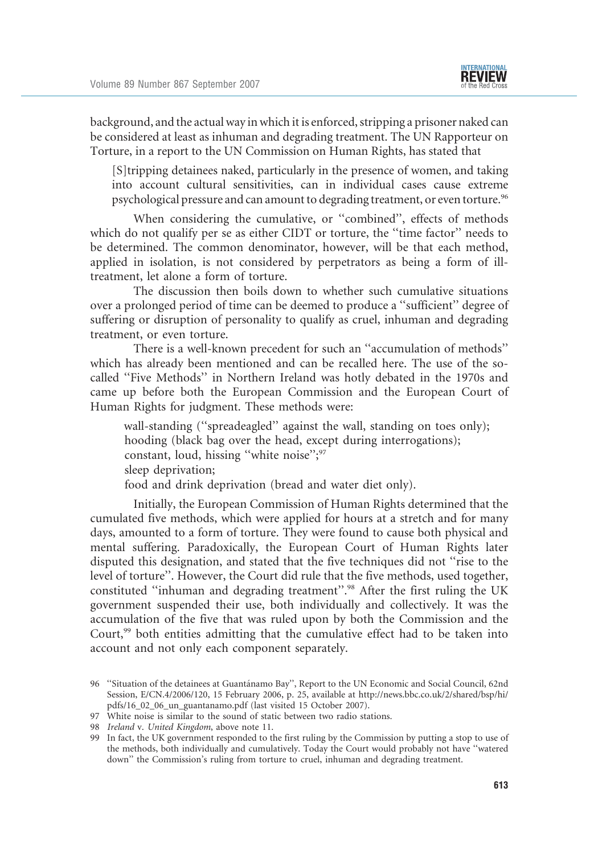

background, and the actual way in which it is enforced, stripping a prisoner naked can be considered at least as inhuman and degrading treatment. The UN Rapporteur on Torture, in a report to the UN Commission on Human Rights, has stated that

[S]tripping detainees naked, particularly in the presence of women, and taking into account cultural sensitivities, can in individual cases cause extreme psychological pressure and can amount to degrading treatment, or even torture.<sup>96</sup>

When considering the cumulative, or ''combined'', effects of methods which do not qualify per se as either CIDT or torture, the "time factor" needs to be determined. The common denominator, however, will be that each method, applied in isolation, is not considered by perpetrators as being a form of illtreatment, let alone a form of torture.

The discussion then boils down to whether such cumulative situations over a prolonged period of time can be deemed to produce a ''sufficient'' degree of suffering or disruption of personality to qualify as cruel, inhuman and degrading treatment, or even torture.

There is a well-known precedent for such an ''accumulation of methods'' which has already been mentioned and can be recalled here. The use of the socalled ''Five Methods'' in Northern Ireland was hotly debated in the 1970s and came up before both the European Commission and the European Court of Human Rights for judgment. These methods were:

wall-standing ("spreadeagled" against the wall, standing on toes only); hooding (black bag over the head, except during interrogations); constant, loud, hissing "white noise";97 sleep deprivation; food and drink deprivation (bread and water diet only).

Initially, the European Commission of Human Rights determined that the cumulated five methods, which were applied for hours at a stretch and for many days, amounted to a form of torture. They were found to cause both physical and mental suffering. Paradoxically, the European Court of Human Rights later disputed this designation, and stated that the five techniques did not ''rise to the level of torture''. However, the Court did rule that the five methods, used together, constituted "inhuman and degrading treatment".<sup>98</sup> After the first ruling the UK government suspended their use, both individually and collectively. It was the accumulation of the five that was ruled upon by both the Commission and the Court,<sup>99</sup> both entities admitting that the cumulative effect had to be taken into account and not only each component separately.

<sup>96 &#</sup>x27;'Situation of the detainees at Guanta´namo Bay'', Report to the UN Economic and Social Council, 62nd Session, E/CN.4/2006/120, 15 February 2006, p. 25, available at http://news.bbc.co.uk/2/shared/bsp/hi/ pdfs/16\_02\_06\_un\_guantanamo.pdf (last visited 15 October 2007).

<sup>97</sup> White noise is similar to the sound of static between two radio stations.

<sup>98</sup> Ireland v. United Kingdom, above note 11.

<sup>99</sup> In fact, the UK government responded to the first ruling by the Commission by putting a stop to use of the methods, both individually and cumulatively. Today the Court would probably not have ''watered down'' the Commission's ruling from torture to cruel, inhuman and degrading treatment.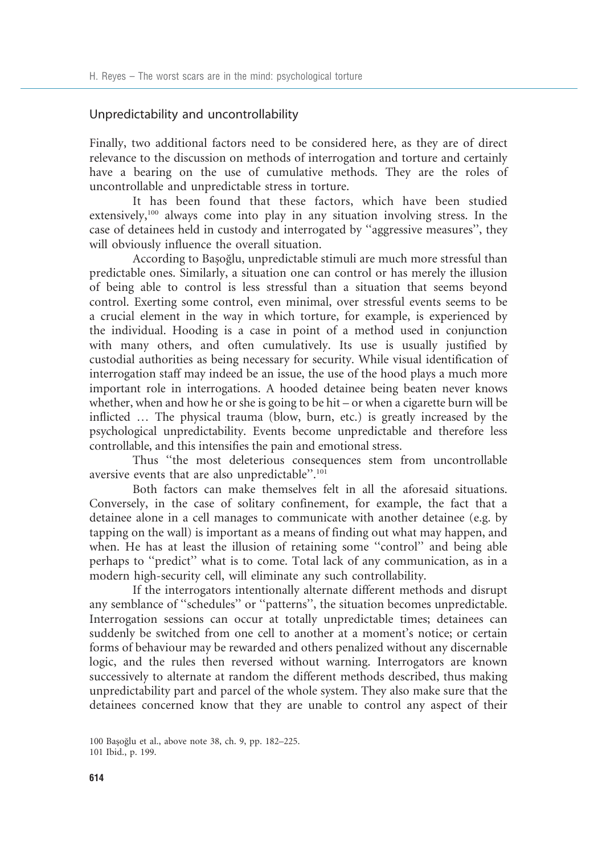### Unpredictability and uncontrollability

Finally, two additional factors need to be considered here, as they are of direct relevance to the discussion on methods of interrogation and torture and certainly have a bearing on the use of cumulative methods. They are the roles of uncontrollable and unpredictable stress in torture.

It has been found that these factors, which have been studied extensively, $100$  always come into play in any situation involving stress. In the case of detainees held in custody and interrogated by ''aggressive measures'', they will obviously influence the overall situation.

According to Bașoğlu, unpredictable stimuli are much more stressful than predictable ones. Similarly, a situation one can control or has merely the illusion of being able to control is less stressful than a situation that seems beyond control. Exerting some control, even minimal, over stressful events seems to be a crucial element in the way in which torture, for example, is experienced by the individual. Hooding is a case in point of a method used in conjunction with many others, and often cumulatively. Its use is usually justified by custodial authorities as being necessary for security. While visual identification of interrogation staff may indeed be an issue, the use of the hood plays a much more important role in interrogations. A hooded detainee being beaten never knows whether, when and how he or she is going to be hit – or when a cigarette burn will be inflicted … The physical trauma (blow, burn, etc.) is greatly increased by the psychological unpredictability. Events become unpredictable and therefore less controllable, and this intensifies the pain and emotional stress.

Thus ''the most deleterious consequences stem from uncontrollable aversive events that are also unpredictable". $101$ 

Both factors can make themselves felt in all the aforesaid situations. Conversely, in the case of solitary confinement, for example, the fact that a detainee alone in a cell manages to communicate with another detainee (e.g. by tapping on the wall) is important as a means of finding out what may happen, and when. He has at least the illusion of retaining some ''control'' and being able perhaps to ''predict'' what is to come. Total lack of any communication, as in a modern high-security cell, will eliminate any such controllability.

If the interrogators intentionally alternate different methods and disrupt any semblance of ''schedules'' or ''patterns'', the situation becomes unpredictable. Interrogation sessions can occur at totally unpredictable times; detainees can suddenly be switched from one cell to another at a moment's notice; or certain forms of behaviour may be rewarded and others penalized without any discernable logic, and the rules then reversed without warning. Interrogators are known successively to alternate at random the different methods described, thus making unpredictability part and parcel of the whole system. They also make sure that the detainees concerned know that they are unable to control any aspect of their

<sup>100</sup> Basoğlu et al., above note 38, ch. 9, pp. 182–225. 101 Ibid., p. 199.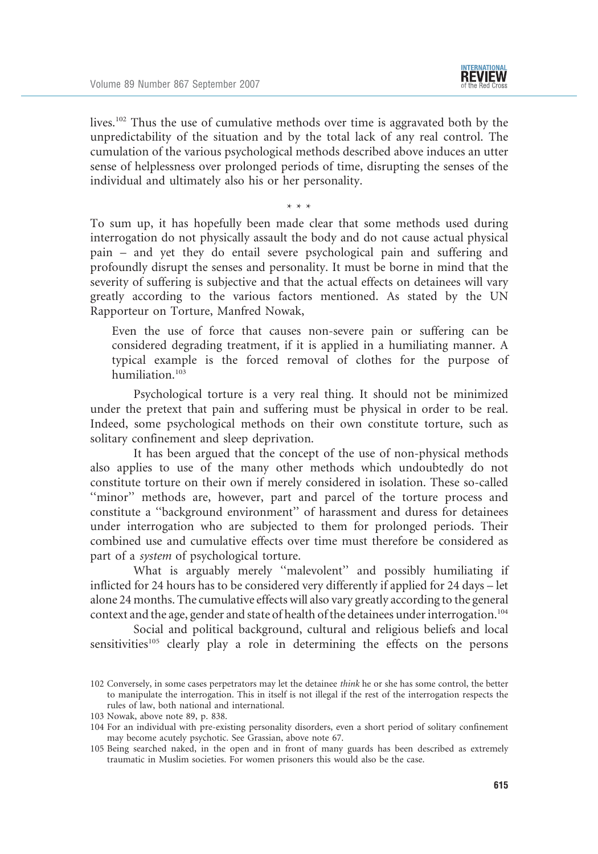lives.<sup>102</sup> Thus the use of cumulative methods over time is aggravated both by the unpredictability of the situation and by the total lack of any real control. The cumulation of the various psychological methods described above induces an utter sense of helplessness over prolonged periods of time, disrupting the senses of the individual and ultimately also his or her personality.

\*\*\*

To sum up, it has hopefully been made clear that some methods used during interrogation do not physically assault the body and do not cause actual physical pain – and yet they do entail severe psychological pain and suffering and profoundly disrupt the senses and personality. It must be borne in mind that the severity of suffering is subjective and that the actual effects on detainees will vary greatly according to the various factors mentioned. As stated by the UN Rapporteur on Torture, Manfred Nowak,

Even the use of force that causes non-severe pain or suffering can be considered degrading treatment, if it is applied in a humiliating manner. A typical example is the forced removal of clothes for the purpose of humiliation.<sup>103</sup>

Psychological torture is a very real thing. It should not be minimized under the pretext that pain and suffering must be physical in order to be real. Indeed, some psychological methods on their own constitute torture, such as solitary confinement and sleep deprivation.

It has been argued that the concept of the use of non-physical methods also applies to use of the many other methods which undoubtedly do not constitute torture on their own if merely considered in isolation. These so-called ''minor'' methods are, however, part and parcel of the torture process and constitute a ''background environment'' of harassment and duress for detainees under interrogation who are subjected to them for prolonged periods. Their combined use and cumulative effects over time must therefore be considered as part of a system of psychological torture.

What is arguably merely "malevolent" and possibly humiliating if inflicted for 24 hours has to be considered very differently if applied for 24 days – let alone 24 months. The cumulative effects will also vary greatly according to the general context and the age, gender and state of health of the detainees under interrogation.<sup>104</sup>

Social and political background, cultural and religious beliefs and local sensitivities<sup>105</sup> clearly play a role in determining the effects on the persons

103 Nowak, above note 89, p. 838.

<sup>102</sup> Conversely, in some cases perpetrators may let the detainee think he or she has some control, the better to manipulate the interrogation. This in itself is not illegal if the rest of the interrogation respects the rules of law, both national and international.

<sup>104</sup> For an individual with pre-existing personality disorders, even a short period of solitary confinement may become acutely psychotic. See Grassian, above note 67.

<sup>105</sup> Being searched naked, in the open and in front of many guards has been described as extremely traumatic in Muslim societies. For women prisoners this would also be the case.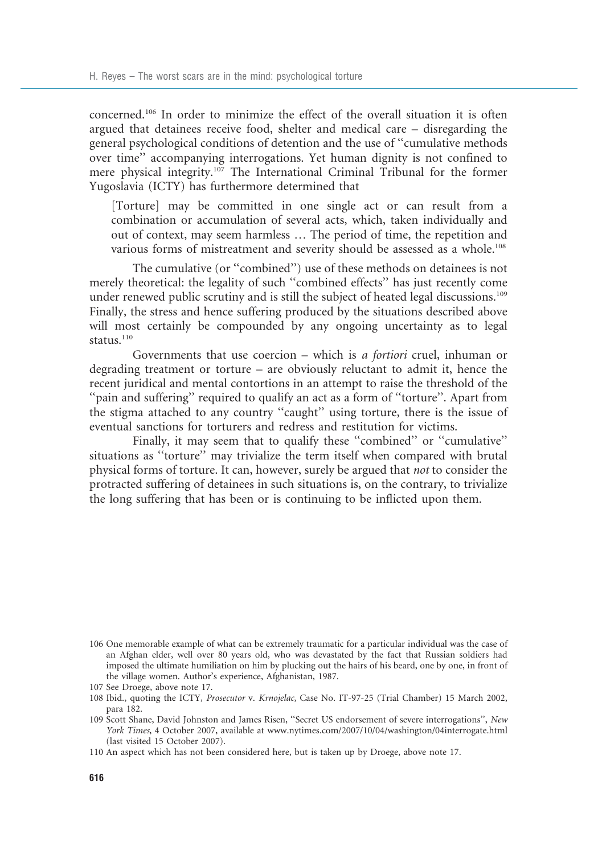concerned.106 In order to minimize the effect of the overall situation it is often argued that detainees receive food, shelter and medical care – disregarding the general psychological conditions of detention and the use of ''cumulative methods over time'' accompanying interrogations. Yet human dignity is not confined to mere physical integrity.<sup>107</sup> The International Criminal Tribunal for the former Yugoslavia (ICTY) has furthermore determined that

[Torture] may be committed in one single act or can result from a combination or accumulation of several acts, which, taken individually and out of context, may seem harmless … The period of time, the repetition and various forms of mistreatment and severity should be assessed as a whole.<sup>108</sup>

The cumulative (or ''combined'') use of these methods on detainees is not merely theoretical: the legality of such ''combined effects'' has just recently come under renewed public scrutiny and is still the subject of heated legal discussions.<sup>109</sup> Finally, the stress and hence suffering produced by the situations described above will most certainly be compounded by any ongoing uncertainty as to legal status. $110$ 

Governments that use coercion – which is a fortiori cruel, inhuman or degrading treatment or torture – are obviously reluctant to admit it, hence the recent juridical and mental contortions in an attempt to raise the threshold of the "pain and suffering" required to qualify an act as a form of "torture". Apart from the stigma attached to any country ''caught'' using torture, there is the issue of eventual sanctions for torturers and redress and restitution for victims.

Finally, it may seem that to qualify these "combined" or "cumulative" situations as ''torture'' may trivialize the term itself when compared with brutal physical forms of torture. It can, however, surely be argued that not to consider the protracted suffering of detainees in such situations is, on the contrary, to trivialize the long suffering that has been or is continuing to be inflicted upon them.

<sup>106</sup> One memorable example of what can be extremely traumatic for a particular individual was the case of an Afghan elder, well over 80 years old, who was devastated by the fact that Russian soldiers had imposed the ultimate humiliation on him by plucking out the hairs of his beard, one by one, in front of the village women. Author's experience, Afghanistan, 1987.

<sup>107</sup> See Droege, above note 17.

<sup>108</sup> Ibid., quoting the ICTY, Prosecutor v. Krnojelac, Case No. IT-97-25 (Trial Chamber) 15 March 2002, para 182.

<sup>109</sup> Scott Shane, David Johnston and James Risen, ''Secret US endorsement of severe interrogations'', New York Times, 4 October 2007, available at www.nytimes.com/2007/10/04/washington/04interrogate.html (last visited 15 October 2007).

<sup>110</sup> An aspect which has not been considered here, but is taken up by Droege, above note 17.